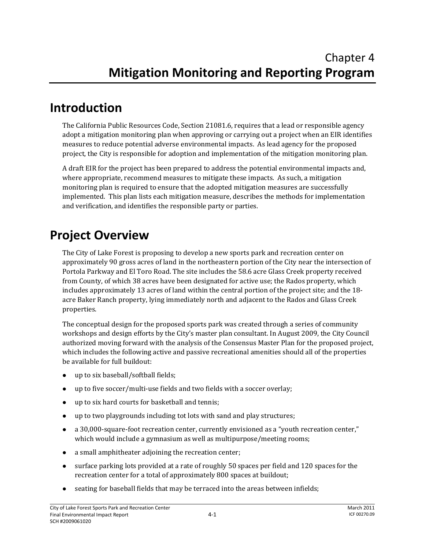#### **Introduction**

The California Public Resources Code, Section 21081.6, requires that a lead or responsible agency adopt a mitigation monitoring plan when approving or carrying out a project when an EIR identifies measures to reduce potential adverse environmental impacts. As lead agency for the proposed project, the City is responsible for adoption and implementation of the mitigation monitoring plan.

A draft EIR for the project has been prepared to address the potential environmental impacts and, where appropriate, recommend measures to mitigate these impacts. As such, a mitigation monitoring plan is required to ensure that the adopted mitigation measures are successfully implemented. This plan lists each mitigation measure, describes the methods for implementation and verification, and identifies the responsible party or parties.

## **Project Overview**

The City of Lake Forest is proposing to develop a new sports park and recreation center on approximately 90 gross acres of land in the northeastern portion of the City near the intersection of Portola Parkway and El Toro Road. The site includes the 58.6 acre Glass Creek property received from County, of which 38 acres have been designated for active use; the Rados property, which includes approximately 13 acres of land within the central portion of the project site; and the 18‐ acre Baker Ranch property, lying immediately north and adjacent to the Rados and Glass Creek properties.

The conceptual design for the proposed sports park was created through a series of community workshops and design efforts by the City's master plan consultant. In August 2009, the City Council authorized moving forward with the analysis of the Consensus Master Plan for the proposed project, which includes the following active and passive recreational amenities should all of the properties be available for full buildout:

- up to six baseball/softball fields;
- up to five soccer/multi-use fields and two fields with a soccer overlay;
- up to six hard courts for basketball and tennis;
- up to two playgrounds including tot lots with sand and play structures;
- a 30,000-square-foot recreation center, currently envisioned as a "youth recreation center," which would include a gymnasium as well as multipurpose/meeting rooms;
- a small amphitheater adjoining the recreation center;
- surface parking lots provided at a rate of roughly 50 spaces per field and 120 spaces for the recreation center for a total of approximately 800 spaces at buildout;
- seating for baseball fields that may be terraced into the areas between infields;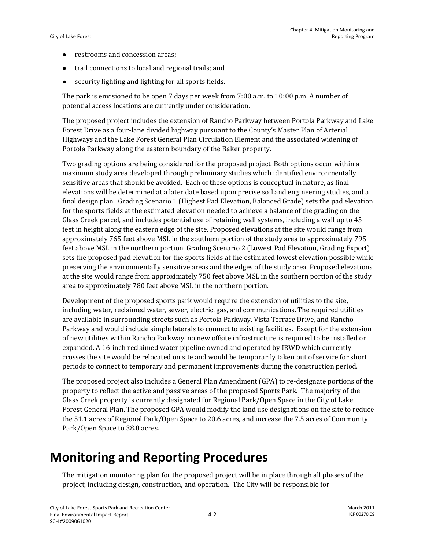- restrooms and concession areas;
- trail connections to local and regional trails; and
- $\bullet$  security lighting and lighting for all sports fields.

The park is envisioned to be open 7 days per week from 7:00 a.m. to 10:00 p.m. A number of potential access locations are currently under consideration.

The proposed project includes the extension of Rancho Parkway between Portola Parkway and Lake Forest Drive as a four‐lane divided highway pursuant to the County's Master Plan of Arterial Highways and the Lake Forest General Plan Circulation Element and the associated widening of Portola Parkway along the eastern boundary of the Baker property.

Two grading options are being considered for the proposed project. Both options occur within a maximum study area developed through preliminary studies which identified environmentally sensitive areas that should be avoided. Each of these options is conceptual in nature, as final elevations will be determined at a later date based upon precise soil and engineering studies, and a final design plan. Grading Scenario 1 (Highest Pad Elevation, Balanced Grade) sets the pad elevation for the sports fields at the estimated elevation needed to achieve a balance of the grading on the Glass Creek parcel, and includes potential use of retaining wall systems, including a wall up to 45 feet in height along the eastern edge of the site. Proposed elevations at the site would range from approximately 765 feet above MSL in the southern portion of the study area to approximately 795 feet above MSL in the northern portion. Grading Scenario 2 (Lowest Pad Elevation, Grading Export) sets the proposed pad elevation for the sports fields at the estimated lowest elevation possible while preserving the environmentally sensitive areas and the edges of the study area. Proposed elevations at the site would range from approximately 750 feet above MSL in the southern portion of the study area to approximately 780 feet above MSL in the northern portion.

Development of the proposed sports park would require the extension of utilities to the site, including water, reclaimed water, sewer, electric, gas, and communications. The required utilities are available in surrounding streets such as Portola Parkway, Vista Terrace Drive, and Rancho Parkway and would include simple laterals to connect to existing facilities. Except for the extension of new utilities within Rancho Parkway, no new offsite infrastructure is required to be installed or expanded. A 16‐inch reclaimed water pipeline owned and operated by IRWD which currently crosses the site would be relocated on site and would be temporarily taken out of service for short periods to connect to temporary and permanent improvements during the construction period.

The proposed project also includes a General Plan Amendment (GPA) to re‐designate portions of the property to reflect the active and passive areas of the proposed Sports Park. The majority of the Glass Creek property is currently designated for Regional Park/Open Space in the City of Lake Forest General Plan. The proposed GPA would modify the land use designations on the site to reduce the 51.1 acres of Regional Park/Open Space to 20.6 acres, and increase the 7.5 acres of Community Park/Open Space to 38.0 acres.

## **Monitoring and Reporting Procedures**

The mitigation monitoring plan for the proposed project will be in place through all phases of the project, including design, construction, and operation. The City will be responsible for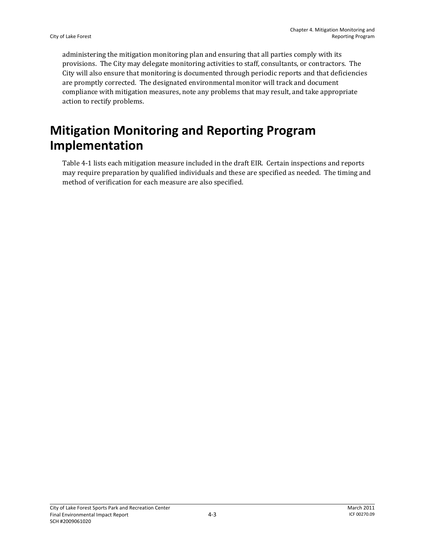administering the mitigation monitoring plan and ensuring that all parties comply with its provisions. The City may delegate monitoring activities to staff, consultants, or contractors. The City will also ensure that monitoring is documented through periodic reports and that deficiencies are promptly corrected. The designated environmental monitor will track and document compliance with mitigation measures, note any problems that may result, and take appropriate action to rectify problems.

# **Mitigation Monitoring and Reporting Program Implementation**

Table 4‐1 lists each mitigation measure included in the draft EIR. Certain inspections and reports may require preparation by qualified individuals and these are specified as needed. The timing and method of verification for each measure are also specified.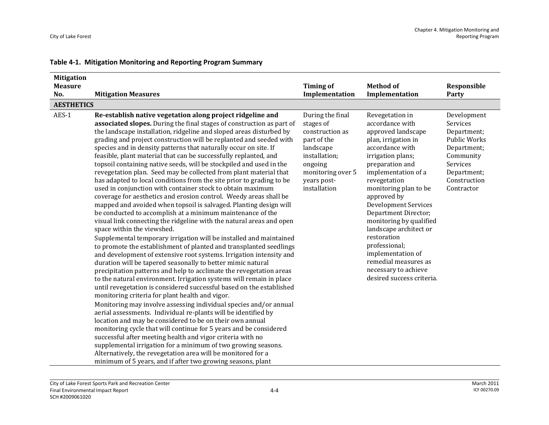| <b>Mitigation</b> |                                                                                                                                                                                                                                                                                                                                                                                                                                                                                                                                                                                                                                                                                                                                                                                                                                                                                                                                                                                                                                                                                                                                                                                                                                                                                                                                                                                                                                                                                                                                                                                                                                                                                                                                                                                                                                                                                                                                                                                                                                                                                                                           |                                                                                                                                                              |                                                                                                                                                                                                                                                                                                                                                                                                                                                                         |                                                                                                                                             |
|-------------------|---------------------------------------------------------------------------------------------------------------------------------------------------------------------------------------------------------------------------------------------------------------------------------------------------------------------------------------------------------------------------------------------------------------------------------------------------------------------------------------------------------------------------------------------------------------------------------------------------------------------------------------------------------------------------------------------------------------------------------------------------------------------------------------------------------------------------------------------------------------------------------------------------------------------------------------------------------------------------------------------------------------------------------------------------------------------------------------------------------------------------------------------------------------------------------------------------------------------------------------------------------------------------------------------------------------------------------------------------------------------------------------------------------------------------------------------------------------------------------------------------------------------------------------------------------------------------------------------------------------------------------------------------------------------------------------------------------------------------------------------------------------------------------------------------------------------------------------------------------------------------------------------------------------------------------------------------------------------------------------------------------------------------------------------------------------------------------------------------------------------------|--------------------------------------------------------------------------------------------------------------------------------------------------------------|-------------------------------------------------------------------------------------------------------------------------------------------------------------------------------------------------------------------------------------------------------------------------------------------------------------------------------------------------------------------------------------------------------------------------------------------------------------------------|---------------------------------------------------------------------------------------------------------------------------------------------|
| <b>Measure</b>    |                                                                                                                                                                                                                                                                                                                                                                                                                                                                                                                                                                                                                                                                                                                                                                                                                                                                                                                                                                                                                                                                                                                                                                                                                                                                                                                                                                                                                                                                                                                                                                                                                                                                                                                                                                                                                                                                                                                                                                                                                                                                                                                           | <b>Timing of</b>                                                                                                                                             | <b>Method of</b>                                                                                                                                                                                                                                                                                                                                                                                                                                                        | Responsible                                                                                                                                 |
| No.               | <b>Mitigation Measures</b>                                                                                                                                                                                                                                                                                                                                                                                                                                                                                                                                                                                                                                                                                                                                                                                                                                                                                                                                                                                                                                                                                                                                                                                                                                                                                                                                                                                                                                                                                                                                                                                                                                                                                                                                                                                                                                                                                                                                                                                                                                                                                                | Implementation                                                                                                                                               | Implementation                                                                                                                                                                                                                                                                                                                                                                                                                                                          | Party                                                                                                                                       |
| <b>AESTHETICS</b> |                                                                                                                                                                                                                                                                                                                                                                                                                                                                                                                                                                                                                                                                                                                                                                                                                                                                                                                                                                                                                                                                                                                                                                                                                                                                                                                                                                                                                                                                                                                                                                                                                                                                                                                                                                                                                                                                                                                                                                                                                                                                                                                           |                                                                                                                                                              |                                                                                                                                                                                                                                                                                                                                                                                                                                                                         |                                                                                                                                             |
| AES-1             | Re-establish native vegetation along project ridgeline and<br>associated slopes. During the final stages of construction as part of<br>the landscape installation, ridgeline and sloped areas disturbed by<br>grading and project construction will be replanted and seeded with<br>species and in density patterns that naturally occur on site. If<br>feasible, plant material that can be successfully replanted, and<br>topsoil containing native seeds, will be stockpiled and used in the<br>revegetation plan. Seed may be collected from plant material that<br>has adapted to local conditions from the site prior to grading to be<br>used in conjunction with container stock to obtain maximum<br>coverage for aesthetics and erosion control. Weedy areas shall be<br>mapped and avoided when topsoil is salvaged. Planting design will<br>be conducted to accomplish at a minimum maintenance of the<br>visual link connecting the ridgeline with the natural areas and open<br>space within the viewshed.<br>Supplemental temporary irrigation will be installed and maintained<br>to promote the establishment of planted and transplanted seedlings<br>and development of extensive root systems. Irrigation intensity and<br>duration will be tapered seasonally to better mimic natural<br>precipitation patterns and help to acclimate the revegetation areas<br>to the natural environment. Irrigation systems will remain in place<br>until revegetation is considered successful based on the established<br>monitoring criteria for plant health and vigor.<br>Monitoring may involve assessing individual species and/or annual<br>aerial assessments. Individual re-plants will be identified by<br>location and may be considered to be on their own annual<br>monitoring cycle that will continue for 5 years and be considered<br>successful after meeting health and vigor criteria with no<br>supplemental irrigation for a minimum of two growing seasons.<br>Alternatively, the revegetation area will be monitored for a<br>minimum of 5 years, and if after two growing seasons, plant | During the final<br>stages of<br>construction as<br>part of the<br>landscape<br>installation;<br>ongoing<br>monitoring over 5<br>years post-<br>installation | Revegetation in<br>accordance with<br>approved landscape<br>plan, irrigation in<br>accordance with<br>irrigation plans;<br>preparation and<br>implementation of a<br>revegetation<br>monitoring plan to be<br>approved by<br><b>Development Services</b><br>Department Director;<br>monitoring by qualified<br>landscape architect or<br>restoration<br>professional;<br>implementation of<br>remedial measures as<br>necessary to achieve<br>desired success criteria. | Development<br>Services<br>Department;<br>Public Works<br>Department;<br>Community<br>Services<br>Department;<br>Construction<br>Contractor |

#### **Table 4‐1. Mitigation Monitoring and Reporting Program Summary**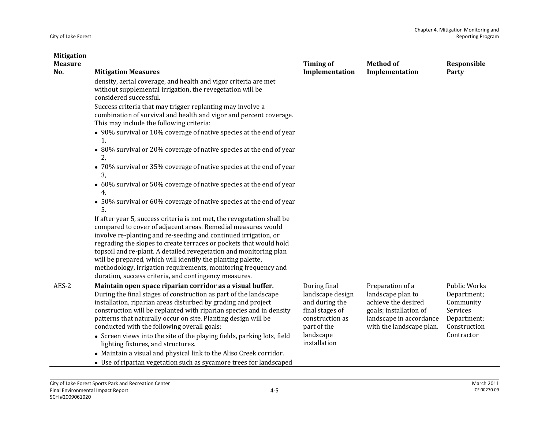| <b>Mitigation</b>     |                                                                                                                                                                                                                                                                                                                                                                                                                                                                                                                                                                               |                                                                                                                                      |                                                                                                                                               |                                                                                                   |
|-----------------------|-------------------------------------------------------------------------------------------------------------------------------------------------------------------------------------------------------------------------------------------------------------------------------------------------------------------------------------------------------------------------------------------------------------------------------------------------------------------------------------------------------------------------------------------------------------------------------|--------------------------------------------------------------------------------------------------------------------------------------|-----------------------------------------------------------------------------------------------------------------------------------------------|---------------------------------------------------------------------------------------------------|
| <b>Measure</b><br>No. | <b>Mitigation Measures</b>                                                                                                                                                                                                                                                                                                                                                                                                                                                                                                                                                    | <b>Timing of</b><br>Implementation                                                                                                   | <b>Method of</b><br>Implementation                                                                                                            | Responsible<br>Party                                                                              |
|                       | density, aerial coverage, and health and vigor criteria are met<br>without supplemental irrigation, the revegetation will be<br>considered successful.                                                                                                                                                                                                                                                                                                                                                                                                                        |                                                                                                                                      |                                                                                                                                               |                                                                                                   |
|                       | Success criteria that may trigger replanting may involve a<br>combination of survival and health and vigor and percent coverage.<br>This may include the following criteria:                                                                                                                                                                                                                                                                                                                                                                                                  |                                                                                                                                      |                                                                                                                                               |                                                                                                   |
|                       | • 90% survival or 10% coverage of native species at the end of year<br>1,                                                                                                                                                                                                                                                                                                                                                                                                                                                                                                     |                                                                                                                                      |                                                                                                                                               |                                                                                                   |
|                       | • 80% survival or 20% coverage of native species at the end of year<br>2,                                                                                                                                                                                                                                                                                                                                                                                                                                                                                                     |                                                                                                                                      |                                                                                                                                               |                                                                                                   |
|                       | • 70% survival or 35% coverage of native species at the end of year<br>3,                                                                                                                                                                                                                                                                                                                                                                                                                                                                                                     |                                                                                                                                      |                                                                                                                                               |                                                                                                   |
|                       | • 60% survival or 50% coverage of native species at the end of year<br>4,                                                                                                                                                                                                                                                                                                                                                                                                                                                                                                     |                                                                                                                                      |                                                                                                                                               |                                                                                                   |
|                       | • 50% survival or 60% coverage of native species at the end of year<br>5.                                                                                                                                                                                                                                                                                                                                                                                                                                                                                                     |                                                                                                                                      |                                                                                                                                               |                                                                                                   |
|                       | If after year 5, success criteria is not met, the revegetation shall be<br>compared to cover of adjacent areas. Remedial measures would<br>involve re-planting and re-seeding and continued irrigation, or<br>regrading the slopes to create terraces or pockets that would hold<br>topsoil and re-plant. A detailed revegetation and monitoring plan<br>will be prepared, which will identify the planting palette,<br>methodology, irrigation requirements, monitoring frequency and<br>duration, success criteria, and contingency measures.                               |                                                                                                                                      |                                                                                                                                               |                                                                                                   |
| AES-2                 | Maintain open space riparian corridor as a visual buffer.<br>During the final stages of construction as part of the landscape<br>installation, riparian areas disturbed by grading and project<br>construction will be replanted with riparian species and in density<br>patterns that naturally occur on site. Planting design will be<br>conducted with the following overall goals:<br>• Screen views into the site of the playing fields, parking lots, field<br>lighting fixtures, and structures.<br>• Maintain a visual and physical link to the Aliso Creek corridor. | During final<br>landscape design<br>and during the<br>final stages of<br>construction as<br>part of the<br>landscape<br>installation | Preparation of a<br>landscape plan to<br>achieve the desired<br>goals; installation of<br>landscape in accordance<br>with the landscape plan. | Public Works<br>Department;<br>Community<br>Services<br>Department;<br>Construction<br>Contractor |

 $\bullet~$  Use of riparian vegetation such as sycamore trees for landscaped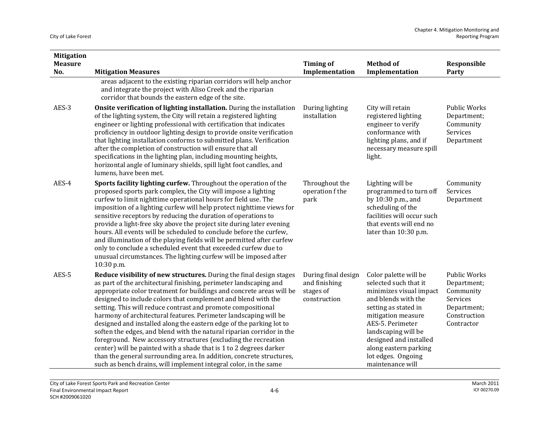| <b>Mitigation</b><br><b>Measure</b><br>No. | <b>Mitigation Measures</b>                                                                                                                                                                                                                                                                                                                                                                                                                                                                                                                                                                                                                                                                                                                                                                                                                                | <b>Timing of</b><br>Implementation                                | <b>Method of</b><br>Implementation                                                                                                                                                                                                                                                     | Responsible<br>Party                                                                                     |
|--------------------------------------------|-----------------------------------------------------------------------------------------------------------------------------------------------------------------------------------------------------------------------------------------------------------------------------------------------------------------------------------------------------------------------------------------------------------------------------------------------------------------------------------------------------------------------------------------------------------------------------------------------------------------------------------------------------------------------------------------------------------------------------------------------------------------------------------------------------------------------------------------------------------|-------------------------------------------------------------------|----------------------------------------------------------------------------------------------------------------------------------------------------------------------------------------------------------------------------------------------------------------------------------------|----------------------------------------------------------------------------------------------------------|
|                                            | areas adjacent to the existing riparian corridors will help anchor<br>and integrate the project with Aliso Creek and the riparian<br>corridor that bounds the eastern edge of the site.                                                                                                                                                                                                                                                                                                                                                                                                                                                                                                                                                                                                                                                                   |                                                                   |                                                                                                                                                                                                                                                                                        |                                                                                                          |
| AES-3                                      | Onsite verification of lighting installation. During the installation<br>of the lighting system, the City will retain a registered lighting<br>engineer or lighting professional with certification that indicates<br>proficiency in outdoor lighting design to provide onsite verification<br>that lighting installation conforms to submitted plans. Verification<br>after the completion of construction will ensure that all<br>specifications in the lighting plan, including mounting heights,<br>horizontal angle of luminary shields, spill light foot candles, and<br>lumens, have been met.                                                                                                                                                                                                                                                     | During lighting<br>installation                                   | City will retain<br>registered lighting<br>engineer to verify<br>conformance with<br>lighting plans, and if<br>necessary measure spill<br>light.                                                                                                                                       | Public Works<br>Department;<br>Community<br>Services<br>Department                                       |
| AES-4                                      | Sports facility lighting curfew. Throughout the operation of the<br>proposed sports park complex, the City will impose a lighting<br>curfew to limit nighttime operational hours for field use. The<br>imposition of a lighting curfew will help protect nighttime views for<br>sensitive receptors by reducing the duration of operations to<br>provide a light-free sky above the project site during later evening<br>hours. All events will be scheduled to conclude before the curfew,<br>and illumination of the playing fields will be permitted after curfew<br>only to conclude a scheduled event that exceeded curfew due to<br>unusual circumstances. The lighting curfew will be imposed after<br>10:30 p.m.                                                                                                                                  | Throughout the<br>operation f the<br>park                         | Lighting will be<br>programmed to turn off<br>by 10:30 p.m., and<br>scheduling of the<br>facilities will occur such<br>that events will end no<br>later than 10:30 p.m.                                                                                                                | Community<br>Services<br>Department                                                                      |
| AES-5                                      | Reduce visibility of new structures. During the final design stages<br>as part of the architectural finishing, perimeter landscaping and<br>appropriate color treatment for buildings and concrete areas will be<br>designed to include colors that complement and blend with the<br>setting. This will reduce contrast and promote compositional<br>harmony of architectural features. Perimeter landscaping will be<br>designed and installed along the eastern edge of the parking lot to<br>soften the edges, and blend with the natural riparian corridor in the<br>foreground. New accessory structures (excluding the recreation<br>center) will be painted with a shade that is 1 to 2 degrees darker<br>than the general surrounding area. In addition, concrete structures,<br>such as bench drains, will implement integral color, in the same | During final design<br>and finishing<br>stages of<br>construction | Color palette will be<br>selected such that it<br>minimizes visual impact<br>and blends with the<br>setting as stated in<br>mitigation measure<br>AES-5. Perimeter<br>landscaping will be<br>designed and installed<br>along eastern parking<br>lot edges. Ongoing<br>maintenance will | <b>Public Works</b><br>Department;<br>Community<br>Services<br>Department;<br>Construction<br>Contractor |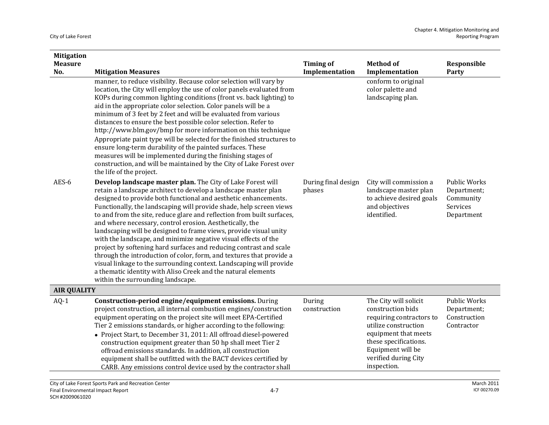| <b>Mitigation</b>  |                                                                                                                                                                                                                                                                                                                                                                                                                                                                                                                                                                                                                                                                                                                                                                                                                                                                                   |                               |                                                                                                                                                                                                             |                                                                           |
|--------------------|-----------------------------------------------------------------------------------------------------------------------------------------------------------------------------------------------------------------------------------------------------------------------------------------------------------------------------------------------------------------------------------------------------------------------------------------------------------------------------------------------------------------------------------------------------------------------------------------------------------------------------------------------------------------------------------------------------------------------------------------------------------------------------------------------------------------------------------------------------------------------------------|-------------------------------|-------------------------------------------------------------------------------------------------------------------------------------------------------------------------------------------------------------|---------------------------------------------------------------------------|
| <b>Measure</b>     |                                                                                                                                                                                                                                                                                                                                                                                                                                                                                                                                                                                                                                                                                                                                                                                                                                                                                   | <b>Timing of</b>              | <b>Method of</b>                                                                                                                                                                                            | Responsible                                                               |
| No.                | <b>Mitigation Measures</b><br>manner, to reduce visibility. Because color selection will vary by<br>location, the City will employ the use of color panels evaluated from<br>KOPs during common lighting conditions (front vs. back lighting) to<br>aid in the appropriate color selection. Color panels will be a<br>minimum of 3 feet by 2 feet and will be evaluated from various<br>distances to ensure the best possible color selection. Refer to<br>http://www.blm.gov/bmp for more information on this technique<br>Appropriate paint type will be selected for the finished structures to<br>ensure long-term durability of the painted surfaces. These<br>measures will be implemented during the finishing stages of<br>construction, and will be maintained by the City of Lake Forest over<br>the life of the project.                                               | Implementation                | Implementation<br>conform to original<br>color palette and<br>landscaping plan.                                                                                                                             | Party                                                                     |
| AES-6              | Develop landscape master plan. The City of Lake Forest will<br>retain a landscape architect to develop a landscape master plan<br>designed to provide both functional and aesthetic enhancements.<br>Functionally, the landscaping will provide shade, help screen views<br>to and from the site, reduce glare and reflection from built surfaces,<br>and where necessary, control erosion. Aesthetically, the<br>landscaping will be designed to frame views, provide visual unity<br>with the landscape, and minimize negative visual effects of the<br>project by softening hard surfaces and reducing contrast and scale<br>through the introduction of color, form, and textures that provide a<br>visual linkage to the surrounding context. Landscaping will provide<br>a thematic identity with Aliso Creek and the natural elements<br>within the surrounding landscape. | During final design<br>phases | City will commission a<br>landscape master plan<br>to achieve desired goals<br>and objectives<br>identified.                                                                                                | <b>Public Works</b><br>Department;<br>Community<br>Services<br>Department |
| <b>AIR QUALITY</b> |                                                                                                                                                                                                                                                                                                                                                                                                                                                                                                                                                                                                                                                                                                                                                                                                                                                                                   |                               |                                                                                                                                                                                                             |                                                                           |
| $AQ-1$             | Construction-period engine/equipment emissions. During<br>project construction, all internal combustion engines/construction<br>equipment operating on the project site will meet EPA-Certified<br>Tier 2 emissions standards, or higher according to the following:<br>• Project Start, to December 31, 2011: All offroad diesel-powered<br>construction equipment greater than 50 hp shall meet Tier 2<br>offroad emissions standards. In addition, all construction<br>equipment shall be outfitted with the BACT devices certified by<br>CARB. Any emissions control device used by the contractor shall                                                                                                                                                                                                                                                                      | During<br>construction        | The City will solicit<br>construction bids<br>requiring contractors to<br>utilize construction<br>equipment that meets<br>these specifications.<br>Equipment will be<br>verified during City<br>inspection. | Public Works<br>Department;<br>Construction<br>Contractor                 |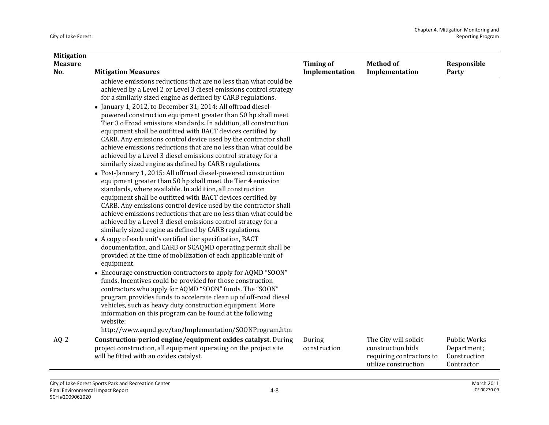| <b>Mitigation</b> |                                                                                                                                                                                                                                                                                                                                                                                                                                                                                                                                                                                                                                                                                                                                                                                                                                                                                                                                                                                                                                                                                                                                                                                                                                                                                                                                                                                                                                                                                                                                                                                                                                                                                                                                                                                                                                                                                                                              |                        |                                                                                                |                                                                  |
|-------------------|------------------------------------------------------------------------------------------------------------------------------------------------------------------------------------------------------------------------------------------------------------------------------------------------------------------------------------------------------------------------------------------------------------------------------------------------------------------------------------------------------------------------------------------------------------------------------------------------------------------------------------------------------------------------------------------------------------------------------------------------------------------------------------------------------------------------------------------------------------------------------------------------------------------------------------------------------------------------------------------------------------------------------------------------------------------------------------------------------------------------------------------------------------------------------------------------------------------------------------------------------------------------------------------------------------------------------------------------------------------------------------------------------------------------------------------------------------------------------------------------------------------------------------------------------------------------------------------------------------------------------------------------------------------------------------------------------------------------------------------------------------------------------------------------------------------------------------------------------------------------------------------------------------------------------|------------------------|------------------------------------------------------------------------------------------------|------------------------------------------------------------------|
| <b>Measure</b>    |                                                                                                                                                                                                                                                                                                                                                                                                                                                                                                                                                                                                                                                                                                                                                                                                                                                                                                                                                                                                                                                                                                                                                                                                                                                                                                                                                                                                                                                                                                                                                                                                                                                                                                                                                                                                                                                                                                                              | <b>Timing of</b>       | <b>Method of</b>                                                                               | Responsible                                                      |
| No.               | <b>Mitigation Measures</b><br>achieve emissions reductions that are no less than what could be<br>achieved by a Level 2 or Level 3 diesel emissions control strategy<br>for a similarly sized engine as defined by CARB regulations.<br>• January 1, 2012, to December 31, 2014: All offroad diesel-<br>powered construction equipment greater than 50 hp shall meet<br>Tier 3 offroad emissions standards. In addition, all construction<br>equipment shall be outfitted with BACT devices certified by<br>CARB. Any emissions control device used by the contractor shall<br>achieve emissions reductions that are no less than what could be<br>achieved by a Level 3 diesel emissions control strategy for a<br>similarly sized engine as defined by CARB regulations.<br>• Post-January 1, 2015: All offroad diesel-powered construction<br>equipment greater than 50 hp shall meet the Tier 4 emission<br>standards, where available. In addition, all construction<br>equipment shall be outfitted with BACT devices certified by<br>CARB. Any emissions control device used by the contractor shall<br>achieve emissions reductions that are no less than what could be<br>achieved by a Level 3 diesel emissions control strategy for a<br>similarly sized engine as defined by CARB regulations.<br>• A copy of each unit's certified tier specification, BACT<br>documentation, and CARB or SCAQMD operating permit shall be<br>provided at the time of mobilization of each applicable unit of<br>equipment.<br>• Encourage construction contractors to apply for AQMD "SOON"<br>funds. Incentives could be provided for those construction<br>contractors who apply for AQMD "SOON" funds. The "SOON"<br>program provides funds to accelerate clean up of off-road diesel<br>vehicles, such as heavy duty construction equipment. More<br>information on this program can be found at the following<br>website: | Implementation         | Implementation                                                                                 | Party                                                            |
|                   | http://www.aqmd.gov/tao/Implementation/SOONProgram.htm                                                                                                                                                                                                                                                                                                                                                                                                                                                                                                                                                                                                                                                                                                                                                                                                                                                                                                                                                                                                                                                                                                                                                                                                                                                                                                                                                                                                                                                                                                                                                                                                                                                                                                                                                                                                                                                                       |                        |                                                                                                |                                                                  |
| $AQ-2$            | Construction-period engine/equipment oxides catalyst. During<br>project construction, all equipment operating on the project site<br>will be fitted with an oxides catalyst.                                                                                                                                                                                                                                                                                                                                                                                                                                                                                                                                                                                                                                                                                                                                                                                                                                                                                                                                                                                                                                                                                                                                                                                                                                                                                                                                                                                                                                                                                                                                                                                                                                                                                                                                                 | During<br>construction | The City will solicit<br>construction bids<br>requiring contractors to<br>utilize construction | <b>Public Works</b><br>Department;<br>Construction<br>Contractor |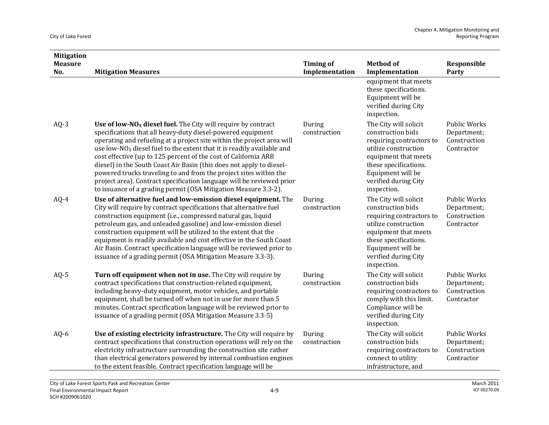| <b>Mitigation</b><br><b>Measure</b> |                                                                                                                                                                                                                                                                                                                                                                                                                                                                                                                                                                                                                                                     | <b>Timing of</b>       | <b>Method of</b>                                                                                                                                                                                            | Responsible                                                      |
|-------------------------------------|-----------------------------------------------------------------------------------------------------------------------------------------------------------------------------------------------------------------------------------------------------------------------------------------------------------------------------------------------------------------------------------------------------------------------------------------------------------------------------------------------------------------------------------------------------------------------------------------------------------------------------------------------------|------------------------|-------------------------------------------------------------------------------------------------------------------------------------------------------------------------------------------------------------|------------------------------------------------------------------|
| No.                                 | <b>Mitigation Measures</b>                                                                                                                                                                                                                                                                                                                                                                                                                                                                                                                                                                                                                          | Implementation         | Implementation<br>equipment that meets<br>these specifications.<br>Equipment will be<br>verified during City<br>inspection.                                                                                 | Party                                                            |
| $AQ-3$                              | Use of low- $NO_X$ diesel fuel. The City will require by contract<br>specifications that all heavy-duty diesel-powered equipment<br>operating and refueling at a project site within the project area will<br>use low- $NOX$ diesel fuel to the extent that it is readily available and<br>cost effective (up to 125 percent of the cost of California ARB<br>diesel) in the South Coast Air Basin (this does not apply to diesel-<br>powered trucks traveling to and from the project sites within the<br>project area). Contract specification language will be reviewed prior<br>to issuance of a grading permit (OSA Mitigation Measure 3.3-2). | During<br>construction | The City will solicit<br>construction bids<br>requiring contractors to<br>utilize construction<br>equipment that meets<br>these specifications.<br>Equipment will be<br>verified during City<br>inspection. | Public Works<br>Department;<br>Construction<br>Contractor        |
| $AQ-4$                              | Use of alternative fuel and low-emission diesel equipment. The<br>City will require by contract specifications that alternative fuel<br>construction equipment (i.e., compressed natural gas, liquid<br>petroleum gas, and unleaded gasoline) and low-emission diesel<br>construction equipment will be utilized to the extent that the<br>equipment is readily available and cost effective in the South Coast<br>Air Basin. Contract specification language will be reviewed prior to<br>issuance of a grading permit (OSA Mitigation Measure 3.3-3).                                                                                             | During<br>construction | The City will solicit<br>construction bids<br>requiring contractors to<br>utilize construction<br>equipment that meets<br>these specifications.<br>Equipment will be<br>verified during City<br>inspection. | <b>Public Works</b><br>Department;<br>Construction<br>Contractor |
| $AQ-5$                              | Turn off equipment when not in use. The City will require by<br>contract specifications that construction-related equipment,<br>including heavy-duty equipment, motor vehicles, and portable<br>equipment, shall be turned off when not in use for more than 5<br>minutes. Contract specification language will be reviewed prior to<br>issuance of a grading permit (OSA Mitigation Measure 3.3-5)                                                                                                                                                                                                                                                 | During<br>construction | The City will solicit<br>construction bids<br>requiring contractors to<br>comply with this limit.<br>Compliance will be<br>verified during City<br>inspection.                                              | <b>Public Works</b><br>Department;<br>Construction<br>Contractor |
| AQ-6                                | Use of existing electricity infrastructure. The City will require by<br>contract specifications that construction operations will rely on the<br>electricity infrastructure surrounding the construction site rather<br>than electrical generators powered by internal combustion engines<br>to the extent feasible. Contract specification language will be                                                                                                                                                                                                                                                                                        | During<br>construction | The City will solicit<br>construction bids<br>requiring contractors to<br>connect to utility<br>infrastructure, and                                                                                         | <b>Public Works</b><br>Department;<br>Construction<br>Contractor |

4‐9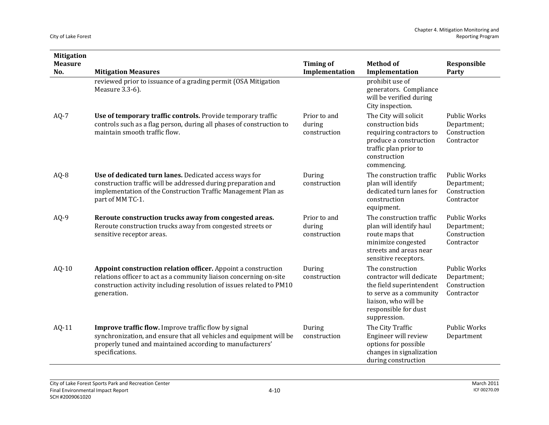| <b>Mitigation</b>     |                                                                                                                                                                                                                            |                                        |                                                                                                                                                                     |                                                                  |
|-----------------------|----------------------------------------------------------------------------------------------------------------------------------------------------------------------------------------------------------------------------|----------------------------------------|---------------------------------------------------------------------------------------------------------------------------------------------------------------------|------------------------------------------------------------------|
| <b>Measure</b><br>No. | <b>Mitigation Measures</b>                                                                                                                                                                                                 | <b>Timing of</b><br>Implementation     | <b>Method of</b><br>Implementation                                                                                                                                  | Responsible<br>Party                                             |
|                       | reviewed prior to issuance of a grading permit (OSA Mitigation<br>Measure 3.3-6).                                                                                                                                          |                                        | prohibit use of<br>generators. Compliance<br>will be verified during<br>City inspection.                                                                            |                                                                  |
| $AQ-7$                | Use of temporary traffic controls. Provide temporary traffic<br>controls such as a flag person, during all phases of construction to<br>maintain smooth traffic flow.                                                      | Prior to and<br>during<br>construction | The City will solicit<br>construction bids<br>requiring contractors to<br>produce a construction<br>traffic plan prior to<br>construction<br>commencing.            | <b>Public Works</b><br>Department;<br>Construction<br>Contractor |
| AQ-8                  | Use of dedicated turn lanes. Dedicated access ways for<br>construction traffic will be addressed during preparation and<br>implementation of the Construction Traffic Management Plan as<br>part of MM TC-1.               | During<br>construction                 | The construction traffic<br>plan will identify<br>dedicated turn lanes for<br>construction<br>equipment.                                                            | <b>Public Works</b><br>Department;<br>Construction<br>Contractor |
| $AQ-9$                | Reroute construction trucks away from congested areas.<br>Reroute construction trucks away from congested streets or<br>sensitive receptor areas.                                                                          | Prior to and<br>during<br>construction | The construction traffic<br>plan will identify haul<br>route maps that<br>minimize congested<br>streets and areas near<br>sensitive receptors.                      | <b>Public Works</b><br>Department;<br>Construction<br>Contractor |
| AQ-10                 | Appoint construction relation officer. Appoint a construction<br>relations officer to act as a community liaison concerning on-site<br>construction activity including resolution of issues related to PM10<br>generation. | During<br>construction                 | The construction<br>contractor will dedicate<br>the field superintendent<br>to serve as a community<br>liaison, who will be<br>responsible for dust<br>suppression. | <b>Public Works</b><br>Department;<br>Construction<br>Contractor |
| AQ-11                 | Improve traffic flow. Improve traffic flow by signal<br>synchronization, and ensure that all vehicles and equipment will be<br>properly tuned and maintained according to manufacturers'<br>specifications.                | During<br>construction                 | The City Traffic<br>Engineer will review<br>options for possible<br>changes in signalization<br>during construction                                                 | <b>Public Works</b><br>Department                                |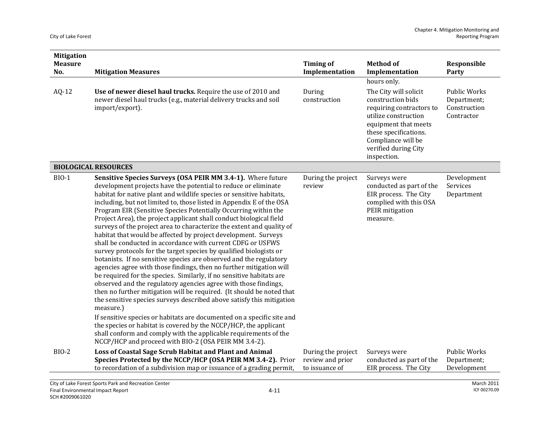| <b>Mitigation</b><br><b>Measure</b> |                                                                                                                                                                                                                                                                                                                                                                                                                                                                                                                                                                                                                                                                                                                                                                                                                                                                                                                                                                                                                                                                                                                                                                                                                                                                                                                                                                                                                                          | <b>Timing of</b>                                         | <b>Method of</b>                                                                                                                                                                                             | Responsible                                                      |
|-------------------------------------|------------------------------------------------------------------------------------------------------------------------------------------------------------------------------------------------------------------------------------------------------------------------------------------------------------------------------------------------------------------------------------------------------------------------------------------------------------------------------------------------------------------------------------------------------------------------------------------------------------------------------------------------------------------------------------------------------------------------------------------------------------------------------------------------------------------------------------------------------------------------------------------------------------------------------------------------------------------------------------------------------------------------------------------------------------------------------------------------------------------------------------------------------------------------------------------------------------------------------------------------------------------------------------------------------------------------------------------------------------------------------------------------------------------------------------------|----------------------------------------------------------|--------------------------------------------------------------------------------------------------------------------------------------------------------------------------------------------------------------|------------------------------------------------------------------|
| No.                                 | <b>Mitigation Measures</b>                                                                                                                                                                                                                                                                                                                                                                                                                                                                                                                                                                                                                                                                                                                                                                                                                                                                                                                                                                                                                                                                                                                                                                                                                                                                                                                                                                                                               | Implementation                                           | Implementation                                                                                                                                                                                               | Party                                                            |
|                                     |                                                                                                                                                                                                                                                                                                                                                                                                                                                                                                                                                                                                                                                                                                                                                                                                                                                                                                                                                                                                                                                                                                                                                                                                                                                                                                                                                                                                                                          |                                                          | hours only.                                                                                                                                                                                                  |                                                                  |
| $AQ-12$                             | Use of newer diesel haul trucks. Require the use of 2010 and<br>newer diesel haul trucks (e.g., material delivery trucks and soil<br>import/export).                                                                                                                                                                                                                                                                                                                                                                                                                                                                                                                                                                                                                                                                                                                                                                                                                                                                                                                                                                                                                                                                                                                                                                                                                                                                                     | During<br>construction                                   | The City will solicit<br>construction bids<br>requiring contractors to<br>utilize construction<br>equipment that meets<br>these specifications.<br>Compliance will be<br>verified during City<br>inspection. | <b>Public Works</b><br>Department;<br>Construction<br>Contractor |
|                                     | <b>BIOLOGICAL RESOURCES</b>                                                                                                                                                                                                                                                                                                                                                                                                                                                                                                                                                                                                                                                                                                                                                                                                                                                                                                                                                                                                                                                                                                                                                                                                                                                                                                                                                                                                              |                                                          |                                                                                                                                                                                                              |                                                                  |
| <b>BIO-1</b>                        | Sensitive Species Surveys (OSA PEIR MM 3.4-1). Where future<br>development projects have the potential to reduce or eliminate<br>habitat for native plant and wildlife species or sensitive habitats,<br>including, but not limited to, those listed in Appendix E of the OSA<br>Program EIR (Sensitive Species Potentially Occurring within the<br>Project Area), the project applicant shall conduct biological field<br>surveys of the project area to characterize the extent and quality of<br>habitat that would be affected by project development. Surveys<br>shall be conducted in accordance with current CDFG or USFWS<br>survey protocols for the target species by qualified biologists or<br>botanists. If no sensitive species are observed and the regulatory<br>agencies agree with those findings, then no further mitigation will<br>be required for the species. Similarly, if no sensitive habitats are<br>observed and the regulatory agencies agree with those findings,<br>then no further mitigation will be required. (It should be noted that<br>the sensitive species surveys described above satisfy this mitigation<br>measure.)<br>If sensitive species or habitats are documented on a specific site and<br>the species or habitat is covered by the NCCP/HCP, the applicant<br>shall conform and comply with the applicable requirements of the<br>NCCP/HCP and proceed with BIO-2 (OSA PEIR MM 3.4-2). | During the project<br>review                             | Surveys were<br>conducted as part of the<br>EIR process. The City<br>complied with this OSA<br>PEIR mitigation<br>measure.                                                                                   | Development<br>Services<br>Department                            |
| <b>BIO-2</b>                        | Loss of Coastal Sage Scrub Habitat and Plant and Animal<br>Species Protected by the NCCP/HCP (OSA PEIR MM 3.4-2). Prior<br>to recordation of a subdivision map or issuance of a grading permit,                                                                                                                                                                                                                                                                                                                                                                                                                                                                                                                                                                                                                                                                                                                                                                                                                                                                                                                                                                                                                                                                                                                                                                                                                                          | During the project<br>review and prior<br>to issuance of | Surveys were<br>conducted as part of the<br>EIR process. The City                                                                                                                                            | <b>Public Works</b><br>Department;<br>Development                |
|                                     |                                                                                                                                                                                                                                                                                                                                                                                                                                                                                                                                                                                                                                                                                                                                                                                                                                                                                                                                                                                                                                                                                                                                                                                                                                                                                                                                                                                                                                          |                                                          |                                                                                                                                                                                                              |                                                                  |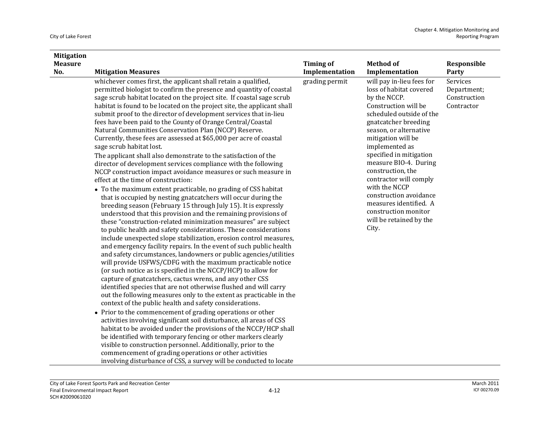| <b>Mitigation</b><br><b>Measure</b> |                                                                                                                                                                                                                                                                                                                                                                                                                                                                                                                                                                                                                                                                                                                                                                                                                                                                                                                                                                                                                              | <b>Timing of</b>                 | <b>Method of</b>                                                                                                              | Responsible                 |
|-------------------------------------|------------------------------------------------------------------------------------------------------------------------------------------------------------------------------------------------------------------------------------------------------------------------------------------------------------------------------------------------------------------------------------------------------------------------------------------------------------------------------------------------------------------------------------------------------------------------------------------------------------------------------------------------------------------------------------------------------------------------------------------------------------------------------------------------------------------------------------------------------------------------------------------------------------------------------------------------------------------------------------------------------------------------------|----------------------------------|-------------------------------------------------------------------------------------------------------------------------------|-----------------------------|
| No.                                 | <b>Mitigation Measures</b><br>whichever comes first, the applicant shall retain a qualified,                                                                                                                                                                                                                                                                                                                                                                                                                                                                                                                                                                                                                                                                                                                                                                                                                                                                                                                                 | Implementation<br>grading permit | Implementation<br>will pay in-lieu fees for                                                                                   | Party<br>Services           |
|                                     | permitted biologist to confirm the presence and quantity of coastal<br>sage scrub habitat located on the project site. If coastal sage scrub                                                                                                                                                                                                                                                                                                                                                                                                                                                                                                                                                                                                                                                                                                                                                                                                                                                                                 |                                  | loss of habitat covered<br>by the NCCP.                                                                                       | Department;<br>Construction |
|                                     | habitat is found to be located on the project site, the applicant shall                                                                                                                                                                                                                                                                                                                                                                                                                                                                                                                                                                                                                                                                                                                                                                                                                                                                                                                                                      |                                  | Construction will be                                                                                                          | Contractor                  |
|                                     | submit proof to the director of development services that in-lieu                                                                                                                                                                                                                                                                                                                                                                                                                                                                                                                                                                                                                                                                                                                                                                                                                                                                                                                                                            |                                  | scheduled outside of the                                                                                                      |                             |
|                                     | fees have been paid to the County of Orange Central/Coastal                                                                                                                                                                                                                                                                                                                                                                                                                                                                                                                                                                                                                                                                                                                                                                                                                                                                                                                                                                  |                                  | gnatcatcher breeding                                                                                                          |                             |
|                                     | Natural Communities Conservation Plan (NCCP) Reserve.<br>Currently, these fees are assessed at \$65,000 per acre of coastal                                                                                                                                                                                                                                                                                                                                                                                                                                                                                                                                                                                                                                                                                                                                                                                                                                                                                                  |                                  | season, or alternative<br>mitigation will be                                                                                  |                             |
|                                     | sage scrub habitat lost.                                                                                                                                                                                                                                                                                                                                                                                                                                                                                                                                                                                                                                                                                                                                                                                                                                                                                                                                                                                                     |                                  | implemented as                                                                                                                |                             |
|                                     | The applicant shall also demonstrate to the satisfaction of the                                                                                                                                                                                                                                                                                                                                                                                                                                                                                                                                                                                                                                                                                                                                                                                                                                                                                                                                                              |                                  | specified in mitigation                                                                                                       |                             |
|                                     | director of development services compliance with the following                                                                                                                                                                                                                                                                                                                                                                                                                                                                                                                                                                                                                                                                                                                                                                                                                                                                                                                                                               |                                  | measure BIO-4. During<br>construction, the                                                                                    |                             |
|                                     | NCCP construction impact avoidance measures or such measure in<br>effect at the time of construction:                                                                                                                                                                                                                                                                                                                                                                                                                                                                                                                                                                                                                                                                                                                                                                                                                                                                                                                        |                                  | contractor will comply                                                                                                        |                             |
|                                     | • To the maximum extent practicable, no grading of CSS habitat<br>that is occupied by nesting gnatcatchers will occur during the<br>breeding season (February 15 through July 15). It is expressly<br>understood that this provision and the remaining provisions of<br>these "construction-related minimization measures" are subject<br>to public health and safety considerations. These considerations<br>include unexpected slope stabilization, erosion control measures,<br>and emergency facility repairs. In the event of such public health<br>and safety circumstances, landowners or public agencies/utilities<br>will provide USFWS/CDFG with the maximum practicable notice<br>(or such notice as is specified in the NCCP/HCP) to allow for<br>capture of gnatcatchers, cactus wrens, and any other CSS<br>identified species that are not otherwise flushed and will carry<br>out the following measures only to the extent as practicable in the<br>context of the public health and safety considerations. |                                  | with the NCCP<br>construction avoidance<br>measures identified. A<br>construction monitor<br>will be retained by the<br>City. |                             |
|                                     | • Prior to the commencement of grading operations or other<br>activities involving significant soil disturbance, all areas of CSS                                                                                                                                                                                                                                                                                                                                                                                                                                                                                                                                                                                                                                                                                                                                                                                                                                                                                            |                                  |                                                                                                                               |                             |
|                                     | habitat to be avoided under the provisions of the NCCP/HCP shall                                                                                                                                                                                                                                                                                                                                                                                                                                                                                                                                                                                                                                                                                                                                                                                                                                                                                                                                                             |                                  |                                                                                                                               |                             |
|                                     | be identified with temporary fencing or other markers clearly                                                                                                                                                                                                                                                                                                                                                                                                                                                                                                                                                                                                                                                                                                                                                                                                                                                                                                                                                                |                                  |                                                                                                                               |                             |
|                                     | visible to construction personnel. Additionally, prior to the<br>commencement of grading operations or other activities                                                                                                                                                                                                                                                                                                                                                                                                                                                                                                                                                                                                                                                                                                                                                                                                                                                                                                      |                                  |                                                                                                                               |                             |
|                                     | involving disturbance of CSS, a survey will be conducted to locate                                                                                                                                                                                                                                                                                                                                                                                                                                                                                                                                                                                                                                                                                                                                                                                                                                                                                                                                                           |                                  |                                                                                                                               |                             |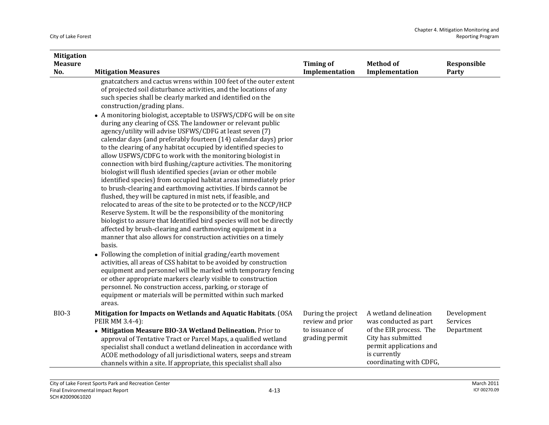| <b>Mitigation</b> |                                                                                                                                                                                                                                                                                                                                                                                                                                                                                                                                                                                                                                                                                                                                                                                                                                                                                                                                                                                                                                                                                                                                                                                                              |                                        |                                                                                                                     |                         |
|-------------------|--------------------------------------------------------------------------------------------------------------------------------------------------------------------------------------------------------------------------------------------------------------------------------------------------------------------------------------------------------------------------------------------------------------------------------------------------------------------------------------------------------------------------------------------------------------------------------------------------------------------------------------------------------------------------------------------------------------------------------------------------------------------------------------------------------------------------------------------------------------------------------------------------------------------------------------------------------------------------------------------------------------------------------------------------------------------------------------------------------------------------------------------------------------------------------------------------------------|----------------------------------------|---------------------------------------------------------------------------------------------------------------------|-------------------------|
| <b>Measure</b>    |                                                                                                                                                                                                                                                                                                                                                                                                                                                                                                                                                                                                                                                                                                                                                                                                                                                                                                                                                                                                                                                                                                                                                                                                              | <b>Timing of</b>                       | <b>Method</b> of                                                                                                    | Responsible             |
| No.               | <b>Mitigation Measures</b>                                                                                                                                                                                                                                                                                                                                                                                                                                                                                                                                                                                                                                                                                                                                                                                                                                                                                                                                                                                                                                                                                                                                                                                   | Implementation                         | Implementation                                                                                                      | Party                   |
|                   | gnatcatchers and cactus wrens within 100 feet of the outer extent<br>of projected soil disturbance activities, and the locations of any<br>such species shall be clearly marked and identified on the<br>construction/grading plans.<br>• A monitoring biologist, acceptable to USFWS/CDFG will be on site<br>during any clearing of CSS. The landowner or relevant public<br>agency/utility will advise USFWS/CDFG at least seven (7)<br>calendar days (and preferably fourteen (14) calendar days) prior<br>to the clearing of any habitat occupied by identified species to<br>allow USFWS/CDFG to work with the monitoring biologist in<br>connection with bird flushing/capture activities. The monitoring<br>biologist will flush identified species (avian or other mobile<br>identified species) from occupied habitat areas immediately prior<br>to brush-clearing and earthmoving activities. If birds cannot be<br>flushed, they will be captured in mist nets, if feasible, and<br>relocated to areas of the site to be protected or to the NCCP/HCP<br>Reserve System. It will be the responsibility of the monitoring<br>biologist to assure that Identified bird species will not be directly |                                        |                                                                                                                     |                         |
|                   | affected by brush-clearing and earthmoving equipment in a<br>manner that also allows for construction activities on a timely                                                                                                                                                                                                                                                                                                                                                                                                                                                                                                                                                                                                                                                                                                                                                                                                                                                                                                                                                                                                                                                                                 |                                        |                                                                                                                     |                         |
|                   | basis.                                                                                                                                                                                                                                                                                                                                                                                                                                                                                                                                                                                                                                                                                                                                                                                                                                                                                                                                                                                                                                                                                                                                                                                                       |                                        |                                                                                                                     |                         |
|                   | • Following the completion of initial grading/earth movement<br>activities, all areas of CSS habitat to be avoided by construction<br>equipment and personnel will be marked with temporary fencing<br>or other appropriate markers clearly visible to construction<br>personnel. No construction access, parking, or storage of<br>equipment or materials will be permitted within such marked<br>areas.                                                                                                                                                                                                                                                                                                                                                                                                                                                                                                                                                                                                                                                                                                                                                                                                    |                                        |                                                                                                                     |                         |
| <b>BIO-3</b>      | Mitigation for Impacts on Wetlands and Aquatic Habitats. (OSA<br>PEIR MM 3.4-4):                                                                                                                                                                                                                                                                                                                                                                                                                                                                                                                                                                                                                                                                                                                                                                                                                                                                                                                                                                                                                                                                                                                             | During the project<br>review and prior | A wetland delineation<br>was conducted as part                                                                      | Development<br>Services |
|                   | • Mitigation Measure BIO-3A Wetland Delineation. Prior to<br>approval of Tentative Tract or Parcel Maps, a qualified wetland<br>specialist shall conduct a wetland delineation in accordance with<br>ACOE methodology of all jurisdictional waters, seeps and stream<br>channels within a site. If appropriate, this specialist shall also                                                                                                                                                                                                                                                                                                                                                                                                                                                                                                                                                                                                                                                                                                                                                                                                                                                                   | to issuance of<br>grading permit       | of the EIR process. The<br>City has submitted<br>permit applications and<br>is currently<br>coordinating with CDFG, | Department              |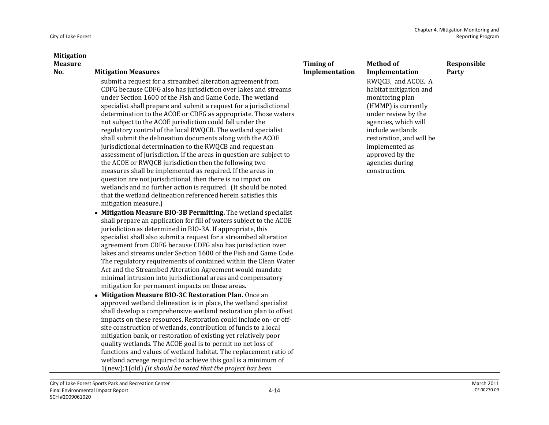| <b>Mitigation</b> |                                                                     |                  |                          |             |
|-------------------|---------------------------------------------------------------------|------------------|--------------------------|-------------|
| <b>Measure</b>    |                                                                     | <b>Timing of</b> | <b>Method of</b>         | Responsible |
| No.               | <b>Mitigation Measures</b>                                          | Implementation   | Implementation           | Party       |
|                   | submit a request for a streambed alteration agreement from          |                  | RWQCB, and ACOE. A       |             |
|                   | CDFG because CDFG also has jurisdiction over lakes and streams      |                  | habitat mitigation and   |             |
|                   | under Section 1600 of the Fish and Game Code. The wetland           |                  | monitoring plan          |             |
|                   | specialist shall prepare and submit a request for a jurisdictional  |                  | (HMMP) is currently      |             |
|                   | determination to the ACOE or CDFG as appropriate. Those waters      |                  | under review by the      |             |
|                   | not subject to the ACOE jurisdiction could fall under the           |                  | agencies, which will     |             |
|                   | regulatory control of the local RWQCB. The wetland specialist       |                  | include wetlands         |             |
|                   | shall submit the delineation documents along with the ACOE          |                  | restoration, and will be |             |
|                   | jurisdictional determination to the RWQCB and request an            |                  | implemented as           |             |
|                   | assessment of jurisdiction. If the areas in question are subject to |                  | approved by the          |             |
|                   | the ACOE or RWQCB jurisdiction then the following two               |                  | agencies during          |             |
|                   | measures shall be implemented as required. If the areas in          |                  | construction.            |             |
|                   | question are not jurisdictional, then there is no impact on         |                  |                          |             |
|                   | wetlands and no further action is required. (It should be noted     |                  |                          |             |
|                   | that the wetland delineation referenced herein satisfies this       |                  |                          |             |
|                   | mitigation measure.)                                                |                  |                          |             |
|                   | • Mitigation Measure BIO-3B Permitting. The wetland specialist      |                  |                          |             |
|                   | shall prepare an application for fill of waters subject to the ACOE |                  |                          |             |
|                   | jurisdiction as determined in BIO-3A. If appropriate, this          |                  |                          |             |
|                   | specialist shall also submit a request for a streambed alteration   |                  |                          |             |
|                   | agreement from CDFG because CDFG also has jurisdiction over         |                  |                          |             |
|                   | lakes and streams under Section 1600 of the Fish and Game Code.     |                  |                          |             |
|                   | The regulatory requirements of contained within the Clean Water     |                  |                          |             |
|                   | Act and the Streambed Alteration Agreement would mandate            |                  |                          |             |
|                   | minimal intrusion into jurisdictional areas and compensatory        |                  |                          |             |
|                   | mitigation for permanent impacts on these areas.                    |                  |                          |             |
|                   | • Mitigation Measure BIO-3C Restoration Plan. Once an               |                  |                          |             |
|                   | approved wetland delineation is in place, the wetland specialist    |                  |                          |             |
|                   | shall develop a comprehensive wetland restoration plan to offset    |                  |                          |             |
|                   | impacts on these resources. Restoration could include on- or off-   |                  |                          |             |
|                   | site construction of wetlands, contribution of funds to a local     |                  |                          |             |
|                   | mitigation bank, or restoration of existing yet relatively poor     |                  |                          |             |
|                   | quality wetlands. The ACOE goal is to permit no net loss of         |                  |                          |             |
|                   | functions and values of wetland habitat. The replacement ratio of   |                  |                          |             |
|                   | wetland acreage required to achieve this goal is a minimum of       |                  |                          |             |
|                   | 1(new):1(old) (It should be noted that the project has been         |                  |                          |             |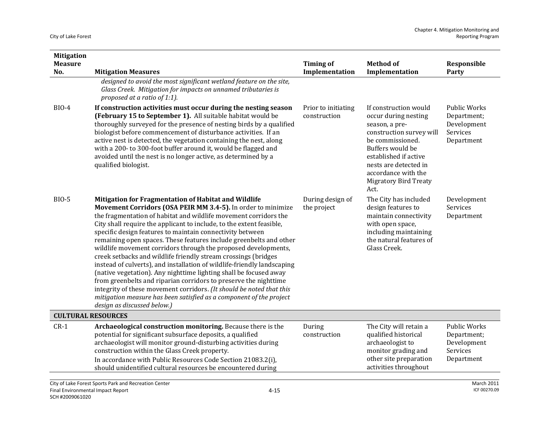| <b>Mitigation</b>     |                                                                                                                                                                                                                                                                                                                                                                                                                                                                                                                                                                                                                                                                                                                                                                                                                                                                                                                                           |                                     |                                                                                                                                                                                                                                               |                                                                             |
|-----------------------|-------------------------------------------------------------------------------------------------------------------------------------------------------------------------------------------------------------------------------------------------------------------------------------------------------------------------------------------------------------------------------------------------------------------------------------------------------------------------------------------------------------------------------------------------------------------------------------------------------------------------------------------------------------------------------------------------------------------------------------------------------------------------------------------------------------------------------------------------------------------------------------------------------------------------------------------|-------------------------------------|-----------------------------------------------------------------------------------------------------------------------------------------------------------------------------------------------------------------------------------------------|-----------------------------------------------------------------------------|
| <b>Measure</b><br>No. | <b>Mitigation Measures</b>                                                                                                                                                                                                                                                                                                                                                                                                                                                                                                                                                                                                                                                                                                                                                                                                                                                                                                                | <b>Timing of</b><br>Implementation  | <b>Method of</b><br>Implementation                                                                                                                                                                                                            | Responsible<br>Party                                                        |
|                       | designed to avoid the most significant wetland feature on the site,<br>Glass Creek. Mitigation for impacts on unnamed tributaries is<br>proposed at a ratio of 1:1).                                                                                                                                                                                                                                                                                                                                                                                                                                                                                                                                                                                                                                                                                                                                                                      |                                     |                                                                                                                                                                                                                                               |                                                                             |
| <b>BIO-4</b>          | If construction activities must occur during the nesting season<br>(February 15 to September 1). All suitable habitat would be<br>thoroughly surveyed for the presence of nesting birds by a qualified<br>biologist before commencement of disturbance activities. If an<br>active nest is detected, the vegetation containing the nest, along<br>with a 200-to 300-foot buffer around it, would be flagged and<br>avoided until the nest is no longer active, as determined by a<br>qualified biologist.                                                                                                                                                                                                                                                                                                                                                                                                                                 | Prior to initiating<br>construction | If construction would<br>occur during nesting<br>season, a pre-<br>construction survey will<br>be commissioned.<br>Buffers would be<br>established if active<br>nests are detected in<br>accordance with the<br>Migratory Bird Treaty<br>Act. | <b>Public Works</b><br>Department;<br>Development<br>Services<br>Department |
| <b>BIO-5</b>          | Mitigation for Fragmentation of Habitat and Wildlife<br>Movement Corridors (OSA PEIR MM 3.4-5). In order to minimize<br>the fragmentation of habitat and wildlife movement corridors the<br>City shall require the applicant to include, to the extent feasible,<br>specific design features to maintain connectivity between<br>remaining open spaces. These features include greenbelts and other<br>wildlife movement corridors through the proposed developments,<br>creek setbacks and wildlife friendly stream crossings (bridges<br>instead of culverts), and installation of wildlife-friendly landscaping<br>(native vegetation). Any nighttime lighting shall be focused away<br>from greenbelts and riparian corridors to preserve the nighttime<br>integrity of these movement corridors. (It should be noted that this<br>mitigation measure has been satisfied as a component of the project<br>design as discussed below.) | During design of<br>the project     | The City has included<br>design features to<br>maintain connectivity<br>with open space,<br>including maintaining<br>the natural features of<br>Glass Creek.                                                                                  | Development<br>Services<br>Department                                       |
|                       | <b>CULTURAL RESOURCES</b>                                                                                                                                                                                                                                                                                                                                                                                                                                                                                                                                                                                                                                                                                                                                                                                                                                                                                                                 |                                     |                                                                                                                                                                                                                                               |                                                                             |
| $CR-1$                | Archaeological construction monitoring. Because there is the<br>potential for significant subsurface deposits, a qualified<br>archaeologist will monitor ground-disturbing activities during<br>construction within the Glass Creek property.<br>In accordance with Public Resources Code Section 21083.2(i),<br>should unidentified cultural resources be encountered during                                                                                                                                                                                                                                                                                                                                                                                                                                                                                                                                                             | During<br>construction              | The City will retain a<br>qualified historical<br>archaeologist to<br>monitor grading and<br>other site preparation<br>activities throughout                                                                                                  | <b>Public Works</b><br>Department;<br>Development<br>Services<br>Department |
|                       | City of Lake Forest Sports Park and Recreation Center<br>$4 - 15$<br>Final Environmental Impact Report                                                                                                                                                                                                                                                                                                                                                                                                                                                                                                                                                                                                                                                                                                                                                                                                                                    |                                     |                                                                                                                                                                                                                                               | <b>March 2011</b><br>ICF 00270.09                                           |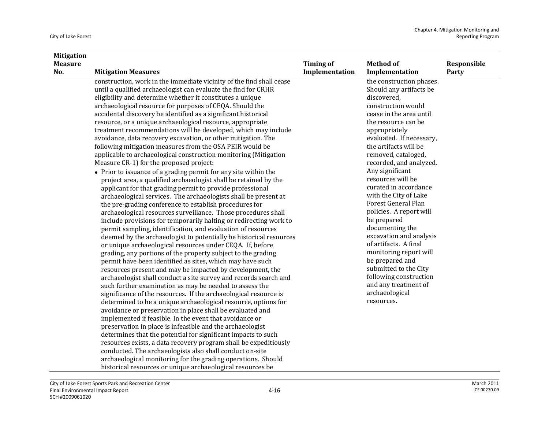| <b>Mitigation</b> |                                                                      |                  |                          |             |
|-------------------|----------------------------------------------------------------------|------------------|--------------------------|-------------|
| <b>Measure</b>    |                                                                      | <b>Timing of</b> | <b>Method of</b>         | Responsible |
| No.               | <b>Mitigation Measures</b>                                           | Implementation   | Implementation           | Party       |
|                   | construction, work in the immediate vicinity of the find shall cease |                  | the construction phases. |             |
|                   | until a qualified archaeologist can evaluate the find for CRHR       |                  | Should any artifacts be  |             |
|                   | eligibility and determine whether it constitutes a unique            |                  | discovered,              |             |
|                   | archaeological resource for purposes of CEQA. Should the             |                  | construction would       |             |
|                   | accidental discovery be identified as a significant historical       |                  | cease in the area until  |             |
|                   | resource, or a unique archaeological resource, appropriate           |                  | the resource can be      |             |
|                   | treatment recommendations will be developed, which may include       |                  | appropriately            |             |
|                   | avoidance, data recovery excavation, or other mitigation. The        |                  | evaluated. If necessary, |             |
|                   | following mitigation measures from the OSA PEIR would be             |                  | the artifacts will be    |             |
|                   | applicable to archaeological construction monitoring (Mitigation     |                  | removed, cataloged,      |             |
|                   | Measure CR-1) for the proposed project:                              |                  | recorded, and analyzed.  |             |
|                   | • Prior to issuance of a grading permit for any site within the      |                  | Any significant          |             |
|                   | project area, a qualified archaeologist shall be retained by the     |                  | resources will be        |             |
|                   | applicant for that grading permit to provide professional            |                  | curated in accordance    |             |
|                   | archaeological services. The archaeologists shall be present at      |                  | with the City of Lake    |             |
|                   | the pre-grading conference to establish procedures for               |                  | Forest General Plan      |             |
|                   | archaeological resources surveillance. Those procedures shall        |                  | policies. A report will  |             |
|                   | include provisions for temporarily halting or redirecting work to    |                  | be prepared              |             |
|                   | permit sampling, identification, and evaluation of resources         |                  | documenting the          |             |
|                   | deemed by the archaeologist to potentially be historical resources   |                  | excavation and analysis  |             |
|                   | or unique archaeological resources under CEQA. If, before            |                  | of artifacts. A final    |             |
|                   | grading, any portions of the property subject to the grading         |                  | monitoring report will   |             |
|                   | permit have been identified as sites, which may have such            |                  | be prepared and          |             |
|                   | resources present and may be impacted by development, the            |                  | submitted to the City    |             |
|                   | archaeologist shall conduct a site survey and records search and     |                  | following construction   |             |
|                   | such further examination as may be needed to assess the              |                  | and any treatment of     |             |
|                   | significance of the resources. If the archaeological resource is     |                  | archaeological           |             |
|                   | determined to be a unique archaeological resource, options for       |                  | resources.               |             |
|                   | avoidance or preservation in place shall be evaluated and            |                  |                          |             |
|                   | implemented if feasible. In the event that avoidance or              |                  |                          |             |
|                   | preservation in place is infeasible and the archaeologist            |                  |                          |             |
|                   | determines that the potential for significant impacts to such        |                  |                          |             |
|                   | resources exists, a data recovery program shall be expeditiously     |                  |                          |             |
|                   | conducted. The archaeologists also shall conduct on-site             |                  |                          |             |
|                   | archaeological monitoring for the grading operations. Should         |                  |                          |             |
|                   | historical resources or unique archaeological resources be           |                  |                          |             |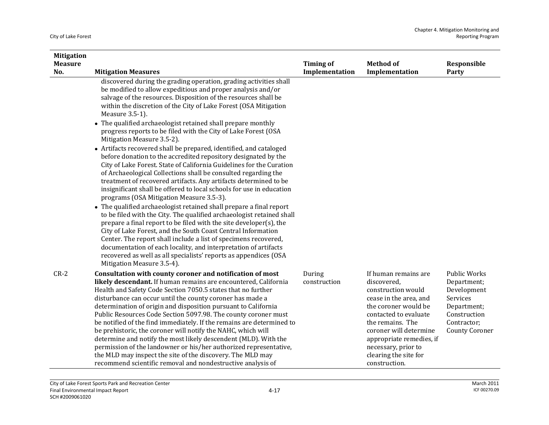| <b>Mitigation</b>     |                                                                                                                                                                                                                                                                                                                                                                                                                                                                                                                                                                                                                                                                                                                                                                                                                                                                                                                                                                                                      |                                    |                                                                                                                                                                                                                                                                                 |                                                                                                                                      |
|-----------------------|------------------------------------------------------------------------------------------------------------------------------------------------------------------------------------------------------------------------------------------------------------------------------------------------------------------------------------------------------------------------------------------------------------------------------------------------------------------------------------------------------------------------------------------------------------------------------------------------------------------------------------------------------------------------------------------------------------------------------------------------------------------------------------------------------------------------------------------------------------------------------------------------------------------------------------------------------------------------------------------------------|------------------------------------|---------------------------------------------------------------------------------------------------------------------------------------------------------------------------------------------------------------------------------------------------------------------------------|--------------------------------------------------------------------------------------------------------------------------------------|
| <b>Measure</b><br>No. | <b>Mitigation Measures</b>                                                                                                                                                                                                                                                                                                                                                                                                                                                                                                                                                                                                                                                                                                                                                                                                                                                                                                                                                                           | <b>Timing of</b><br>Implementation | <b>Method of</b><br>Implementation                                                                                                                                                                                                                                              | Responsible<br>Party                                                                                                                 |
|                       | discovered during the grading operation, grading activities shall<br>be modified to allow expeditious and proper analysis and/or<br>salvage of the resources. Disposition of the resources shall be<br>within the discretion of the City of Lake Forest (OSA Mitigation<br>Measure 3.5-1).<br>• The qualified archaeologist retained shall prepare monthly                                                                                                                                                                                                                                                                                                                                                                                                                                                                                                                                                                                                                                           |                                    |                                                                                                                                                                                                                                                                                 |                                                                                                                                      |
|                       | progress reports to be filed with the City of Lake Forest (OSA<br>Mitigation Measure 3.5-2).                                                                                                                                                                                                                                                                                                                                                                                                                                                                                                                                                                                                                                                                                                                                                                                                                                                                                                         |                                    |                                                                                                                                                                                                                                                                                 |                                                                                                                                      |
|                       | • Artifacts recovered shall be prepared, identified, and cataloged<br>before donation to the accredited repository designated by the<br>City of Lake Forest. State of California Guidelines for the Curation<br>of Archaeological Collections shall be consulted regarding the<br>treatment of recovered artifacts. Any artifacts determined to be<br>insignificant shall be offered to local schools for use in education<br>programs (OSA Mitigation Measure 3.5-3).<br>• The qualified archaeologist retained shall prepare a final report<br>to be filed with the City. The qualified archaeologist retained shall<br>prepare a final report to be filed with the site developer(s), the<br>City of Lake Forest, and the South Coast Central Information<br>Center. The report shall include a list of specimens recovered,<br>documentation of each locality, and interpretation of artifacts<br>recovered as well as all specialists' reports as appendices (OSA<br>Mitigation Measure 3.5-4). |                                    |                                                                                                                                                                                                                                                                                 |                                                                                                                                      |
| $CR-2$                | Consultation with county coroner and notification of most<br>likely descendant. If human remains are encountered, California<br>Health and Safety Code Section 7050.5 states that no further<br>disturbance can occur until the county coroner has made a<br>determination of origin and disposition pursuant to California<br>Public Resources Code Section 5097.98. The county coroner must<br>be notified of the find immediately. If the remains are determined to<br>be prehistoric, the coroner will notify the NAHC, which will<br>determine and notify the most likely descendent (MLD). With the<br>permission of the landowner or his/her authorized representative,<br>the MLD may inspect the site of the discovery. The MLD may<br>recommend scientific removal and nondestructive analysis of                                                                                                                                                                                          | During<br>construction             | If human remains are<br>discovered.<br>construction would<br>cease in the area, and<br>the coroner would be<br>contacted to evaluate<br>the remains. The<br>coroner will determine<br>appropriate remedies, if<br>necessary, prior to<br>clearing the site for<br>construction. | <b>Public Works</b><br>Department;<br>Development<br>Services<br>Department;<br>Construction<br>Contractor;<br><b>County Coroner</b> |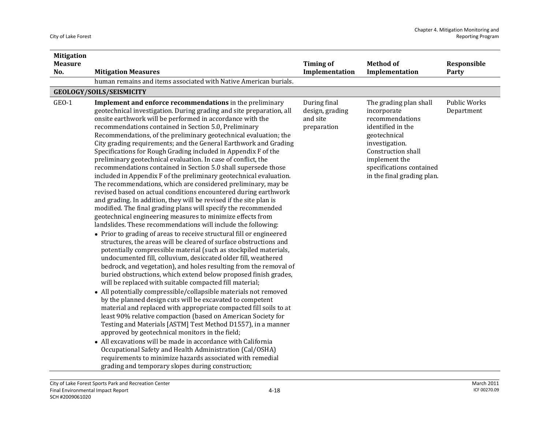| <b>Mitigation</b> |                                                                                                                                                                                                                                                                                                                                                                                                                                                                                                                                                                                                                                                                                                                                                                                                                                                                                                                                                                                                                                                                                                                                                                                                                                                                                                                                                                                                                                                                                                                                                                                                                                                                                                                                                                                                                                                                                                                                                                                                                                                                                                                                                                                                                          |                                                            |                                                                                                                                                                                                                  |                                   |
|-------------------|--------------------------------------------------------------------------------------------------------------------------------------------------------------------------------------------------------------------------------------------------------------------------------------------------------------------------------------------------------------------------------------------------------------------------------------------------------------------------------------------------------------------------------------------------------------------------------------------------------------------------------------------------------------------------------------------------------------------------------------------------------------------------------------------------------------------------------------------------------------------------------------------------------------------------------------------------------------------------------------------------------------------------------------------------------------------------------------------------------------------------------------------------------------------------------------------------------------------------------------------------------------------------------------------------------------------------------------------------------------------------------------------------------------------------------------------------------------------------------------------------------------------------------------------------------------------------------------------------------------------------------------------------------------------------------------------------------------------------------------------------------------------------------------------------------------------------------------------------------------------------------------------------------------------------------------------------------------------------------------------------------------------------------------------------------------------------------------------------------------------------------------------------------------------------------------------------------------------------|------------------------------------------------------------|------------------------------------------------------------------------------------------------------------------------------------------------------------------------------------------------------------------|-----------------------------------|
| <b>Measure</b>    |                                                                                                                                                                                                                                                                                                                                                                                                                                                                                                                                                                                                                                                                                                                                                                                                                                                                                                                                                                                                                                                                                                                                                                                                                                                                                                                                                                                                                                                                                                                                                                                                                                                                                                                                                                                                                                                                                                                                                                                                                                                                                                                                                                                                                          | <b>Timing of</b>                                           | <b>Method of</b>                                                                                                                                                                                                 | Responsible                       |
| No.               | <b>Mitigation Measures</b>                                                                                                                                                                                                                                                                                                                                                                                                                                                                                                                                                                                                                                                                                                                                                                                                                                                                                                                                                                                                                                                                                                                                                                                                                                                                                                                                                                                                                                                                                                                                                                                                                                                                                                                                                                                                                                                                                                                                                                                                                                                                                                                                                                                               | Implementation                                             | Implementation                                                                                                                                                                                                   | Party                             |
|                   | human remains and items associated with Native American burials.                                                                                                                                                                                                                                                                                                                                                                                                                                                                                                                                                                                                                                                                                                                                                                                                                                                                                                                                                                                                                                                                                                                                                                                                                                                                                                                                                                                                                                                                                                                                                                                                                                                                                                                                                                                                                                                                                                                                                                                                                                                                                                                                                         |                                                            |                                                                                                                                                                                                                  |                                   |
|                   | <b>GEOLOGY/SOILS/SEISMICITY</b>                                                                                                                                                                                                                                                                                                                                                                                                                                                                                                                                                                                                                                                                                                                                                                                                                                                                                                                                                                                                                                                                                                                                                                                                                                                                                                                                                                                                                                                                                                                                                                                                                                                                                                                                                                                                                                                                                                                                                                                                                                                                                                                                                                                          |                                                            |                                                                                                                                                                                                                  |                                   |
| GEO-1             | <b>Implement and enforce recommendations</b> in the preliminary<br>geotechnical investigation. During grading and site preparation, all<br>onsite earthwork will be performed in accordance with the<br>recommendations contained in Section 5.0, Preliminary<br>Recommendations, of the preliminary geotechnical evaluation; the<br>City grading requirements; and the General Earthwork and Grading<br>Specifications for Rough Grading included in Appendix F of the<br>preliminary geotechnical evaluation. In case of conflict, the<br>recommendations contained in Section 5.0 shall supersede those<br>included in Appendix F of the preliminary geotechnical evaluation.<br>The recommendations, which are considered preliminary, may be<br>revised based on actual conditions encountered during earthwork<br>and grading. In addition, they will be revised if the site plan is<br>modified. The final grading plans will specify the recommended<br>geotechnical engineering measures to minimize effects from<br>landslides. These recommendations will include the following:<br>• Prior to grading of areas to receive structural fill or engineered<br>structures, the areas will be cleared of surface obstructions and<br>potentially compressible material (such as stockpiled materials,<br>undocumented fill, colluvium, desiccated older fill, weathered<br>bedrock, and vegetation), and holes resulting from the removal of<br>buried obstructions, which extend below proposed finish grades,<br>will be replaced with suitable compacted fill material;<br>• All potentially compressible/collapsible materials not removed<br>by the planned design cuts will be excavated to competent<br>material and replaced with appropriate compacted fill soils to at<br>least 90% relative compaction (based on American Society for<br>Testing and Materials [ASTM] Test Method D1557), in a manner<br>approved by geotechnical monitors in the field;<br>• All excavations will be made in accordance with California<br>Occupational Safety and Health Administration (Cal/OSHA)<br>requirements to minimize hazards associated with remedial<br>grading and temporary slopes during construction; | During final<br>design, grading<br>and site<br>preparation | The grading plan shall<br>incorporate<br>recommendations<br>identified in the<br>geotechnical<br>investigation.<br>Construction shall<br>implement the<br>specifications contained<br>in the final grading plan. | <b>Public Works</b><br>Department |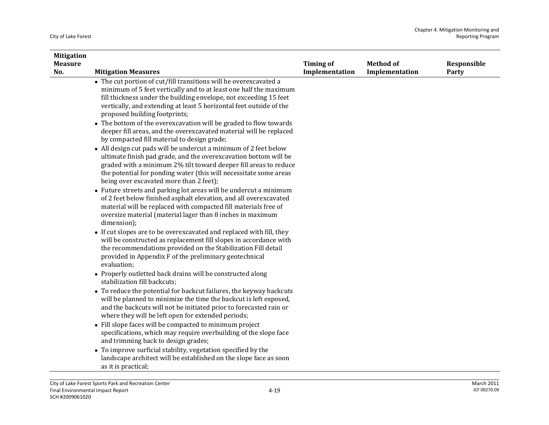| <b>Mitigation</b> |                                                                                                                                                                                                                                                                                                                          |                  |                  |             |
|-------------------|--------------------------------------------------------------------------------------------------------------------------------------------------------------------------------------------------------------------------------------------------------------------------------------------------------------------------|------------------|------------------|-------------|
| <b>Measure</b>    |                                                                                                                                                                                                                                                                                                                          | <b>Timing of</b> | <b>Method of</b> | Responsible |
| No.               | <b>Mitigation Measures</b>                                                                                                                                                                                                                                                                                               | Implementation   | Implementation   | Party       |
|                   | • The cut portion of cut/fill transitions will be overexcavated a<br>minimum of 5 feet vertically and to at least one half the maximum<br>fill thickness under the building envelope, not exceeding 15 feet<br>vertically, and extending at least 5 horizontal feet outside of the<br>proposed building footprints;      |                  |                  |             |
|                   | • The bottom of the overexcavation will be graded to flow towards<br>deeper fill areas, and the overexcavated material will be replaced<br>by compacted fill material to design grade;                                                                                                                                   |                  |                  |             |
|                   | • All design cut pads will be undercut a minimum of 2 feet below<br>ultimate finish pad grade, and the overexcavation bottom will be<br>graded with a minimum 2% tilt toward deeper fill areas to reduce<br>the potential for ponding water (this will necessitate some areas<br>being over excavated more than 2 feet); |                  |                  |             |
|                   | • Future streets and parking lot areas will be undercut a minimum<br>of 2 feet below finished asphalt elevation, and all overexcavated<br>material will be replaced with compacted fill materials free of<br>oversize material (material lager than 8 inches in maximum<br>dimension);                                   |                  |                  |             |
|                   | • If cut slopes are to be overexcavated and replaced with fill, they<br>will be constructed as replacement fill slopes in accordance with<br>the recommendations provided on the Stabilization Fill detail<br>provided in Appendix F of the preliminary geotechnical<br>evaluation;                                      |                  |                  |             |
|                   | • Properly outletted back drains will be constructed along<br>stabilization fill backcuts;                                                                                                                                                                                                                               |                  |                  |             |
|                   | • To reduce the potential for backcut failures, the keyway backcuts<br>will be planned to minimize the time the backcut is left exposed,<br>and the backcuts will not be initiated prior to forecasted rain or<br>where they will be left open for extended periods;                                                     |                  |                  |             |
|                   | • Fill slope faces will be compacted to minimum project<br>specifications, which may require overbuilding of the slope face<br>and trimming back to design grades;                                                                                                                                                       |                  |                  |             |
|                   | • To improve surficial stability, vegetation specified by the<br>landscape architect will be established on the slope face as soon<br>as it is practical;                                                                                                                                                                |                  |                  |             |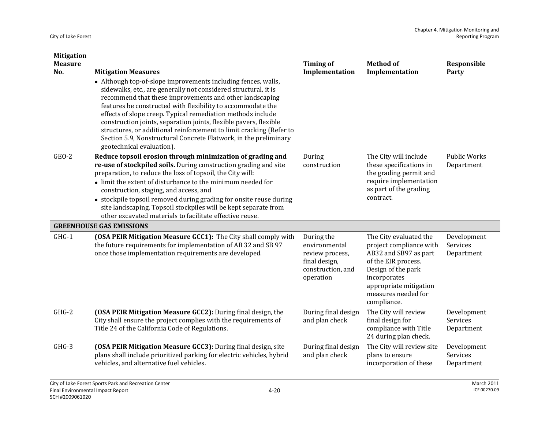| <b>Mitigation</b>     |                                                                                                                                                                                                                                                                                                                                                                                                                                                                                                                                                                        |                                                                                                   |                                                                                                                                                                                                         |                                       |
|-----------------------|------------------------------------------------------------------------------------------------------------------------------------------------------------------------------------------------------------------------------------------------------------------------------------------------------------------------------------------------------------------------------------------------------------------------------------------------------------------------------------------------------------------------------------------------------------------------|---------------------------------------------------------------------------------------------------|---------------------------------------------------------------------------------------------------------------------------------------------------------------------------------------------------------|---------------------------------------|
| <b>Measure</b><br>No. | <b>Mitigation Measures</b>                                                                                                                                                                                                                                                                                                                                                                                                                                                                                                                                             | <b>Timing of</b><br>Implementation                                                                | <b>Method of</b><br>Implementation                                                                                                                                                                      | Responsible<br>Party                  |
|                       | • Although top-of-slope improvements including fences, walls,<br>sidewalks, etc., are generally not considered structural, it is<br>recommend that these improvements and other landscaping<br>features be constructed with flexibility to accommodate the<br>effects of slope creep. Typical remediation methods include<br>construction joints, separation joints, flexible pavers, flexible<br>structures, or additional reinforcement to limit cracking (Refer to<br>Section 5.9, Nonstructural Concrete Flatwork, in the preliminary<br>geotechnical evaluation). |                                                                                                   |                                                                                                                                                                                                         |                                       |
| GEO-2                 | Reduce topsoil erosion through minimization of grading and<br>re-use of stockpiled soils. During construction grading and site<br>preparation, to reduce the loss of topsoil, the City will:<br>• limit the extent of disturbance to the minimum needed for<br>construction, staging, and access, and<br>• stockpile topsoil removed during grading for onsite reuse during<br>site landscaping. Topsoil stockpiles will be kept separate from<br>other excavated materials to facilitate effective reuse.                                                             | During<br>construction                                                                            | The City will include<br>these specifications in<br>the grading permit and<br>require implementation<br>as part of the grading<br>contract.                                                             | <b>Public Works</b><br>Department     |
|                       | <b>GREENHOUSE GAS EMISSIONS</b>                                                                                                                                                                                                                                                                                                                                                                                                                                                                                                                                        |                                                                                                   |                                                                                                                                                                                                         |                                       |
| $GHG-1$               | (OSA PEIR Mitigation Measure GCC1): The City shall comply with<br>the future requirements for implementation of AB 32 and SB 97<br>once those implementation requirements are developed.                                                                                                                                                                                                                                                                                                                                                                               | During the<br>environmental<br>review process,<br>final design,<br>construction, and<br>operation | The City evaluated the<br>project compliance with<br>AB32 and SB97 as part<br>of the EIR process.<br>Design of the park<br>incorporates<br>appropriate mitigation<br>measures needed for<br>compliance. | Development<br>Services<br>Department |
| $GHG-2$               | (OSA PEIR Mitigation Measure GCC2): During final design, the<br>City shall ensure the project complies with the requirements of<br>Title 24 of the California Code of Regulations.                                                                                                                                                                                                                                                                                                                                                                                     | During final design<br>and plan check                                                             | The City will review<br>final design for<br>compliance with Title<br>24 during plan check.                                                                                                              | Development<br>Services<br>Department |
| GHG-3                 | (OSA PEIR Mitigation Measure GCC3): During final design, site<br>plans shall include prioritized parking for electric vehicles, hybrid<br>vehicles, and alternative fuel vehicles.                                                                                                                                                                                                                                                                                                                                                                                     | During final design<br>and plan check                                                             | The City will review site<br>plans to ensure<br>incorporation of these                                                                                                                                  | Development<br>Services<br>Department |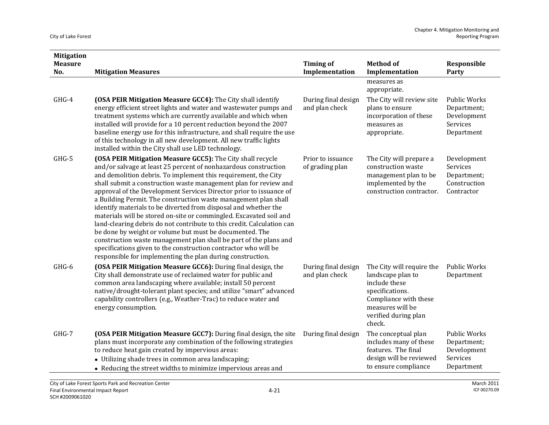| <b>Mitigation</b>     |                                                                                                                                                                                                                                                                                                                                                                                                                                                                                                                                                                                                                                                                                                                                                                                                                                                                                                  |                                       |                                                                                                                                                                   |                                                                             |
|-----------------------|--------------------------------------------------------------------------------------------------------------------------------------------------------------------------------------------------------------------------------------------------------------------------------------------------------------------------------------------------------------------------------------------------------------------------------------------------------------------------------------------------------------------------------------------------------------------------------------------------------------------------------------------------------------------------------------------------------------------------------------------------------------------------------------------------------------------------------------------------------------------------------------------------|---------------------------------------|-------------------------------------------------------------------------------------------------------------------------------------------------------------------|-----------------------------------------------------------------------------|
| <b>Measure</b><br>No. | <b>Mitigation Measures</b>                                                                                                                                                                                                                                                                                                                                                                                                                                                                                                                                                                                                                                                                                                                                                                                                                                                                       | <b>Timing of</b><br>Implementation    | <b>Method of</b><br>Implementation                                                                                                                                | Responsible<br>Party                                                        |
|                       |                                                                                                                                                                                                                                                                                                                                                                                                                                                                                                                                                                                                                                                                                                                                                                                                                                                                                                  |                                       | measures as<br>appropriate.                                                                                                                                       |                                                                             |
| GHG-4                 | (OSA PEIR Mitigation Measure GCC4): The City shall identify<br>energy efficient street lights and water and wastewater pumps and<br>treatment systems which are currently available and which when<br>installed will provide for a 10 percent reduction beyond the 2007<br>baseline energy use for this infrastructure, and shall require the use<br>of this technology in all new development. All new traffic lights<br>installed within the City shall use LED technology.                                                                                                                                                                                                                                                                                                                                                                                                                    | During final design<br>and plan check | The City will review site<br>plans to ensure<br>incorporation of these<br>measures as<br>appropriate.                                                             | <b>Public Works</b><br>Department;<br>Development<br>Services<br>Department |
| GHG-5                 | (OSA PEIR Mitigation Measure GCC5): The City shall recycle<br>and/or salvage at least 25 percent of nonhazardous construction<br>and demolition debris. To implement this requirement, the City<br>shall submit a construction waste management plan for review and<br>approval of the Development Services Director prior to issuance of<br>a Building Permit. The construction waste management plan shall<br>identify materials to be diverted from disposal and whether the<br>materials will be stored on-site or commingled. Excavated soil and<br>land-clearing debris do not contribute to this credit. Calculation can<br>be done by weight or volume but must be documented. The<br>construction waste management plan shall be part of the plans and<br>specifications given to the construction contractor who will be<br>responsible for implementing the plan during construction. | Prior to issuance<br>of grading plan  | The City will prepare a<br>construction waste<br>management plan to be<br>implemented by the<br>construction contractor.                                          | Development<br>Services<br>Department;<br>Construction<br>Contractor        |
| GHG-6                 | (OSA PEIR Mitigation Measure GCC6): During final design, the<br>City shall demonstrate use of reclaimed water for public and<br>common area landscaping where available; install 50 percent<br>native/drought-tolerant plant species; and utilize "smart" advanced<br>capability controllers (e.g., Weather-Trac) to reduce water and<br>energy consumption.                                                                                                                                                                                                                                                                                                                                                                                                                                                                                                                                     | During final design<br>and plan check | The City will require the<br>landscape plan to<br>include these<br>specifications.<br>Compliance with these<br>measures will be<br>verified during plan<br>check. | Public Works<br>Department                                                  |
| GHG-7                 | (OSA PEIR Mitigation Measure GCC7): During final design, the site<br>plans must incorporate any combination of the following strategies<br>to reduce heat gain created by impervious areas:<br>• Utilizing shade trees in common area landscaping;<br>• Reducing the street widths to minimize impervious areas and                                                                                                                                                                                                                                                                                                                                                                                                                                                                                                                                                                              | During final design                   | The conceptual plan<br>includes many of these<br>features. The final<br>design will be reviewed<br>to ensure compliance                                           | <b>Public Works</b><br>Department;<br>Development<br>Services<br>Department |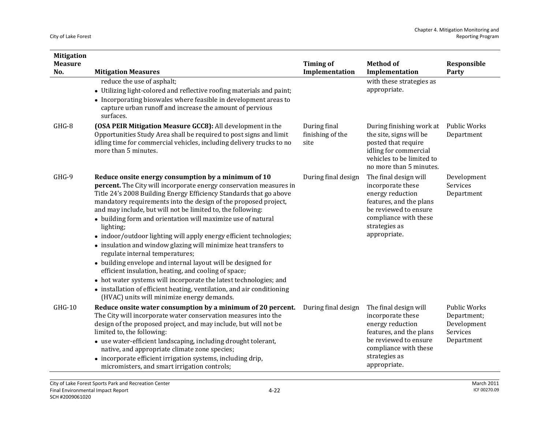| <b>Mitigation</b><br><b>Measure</b><br>No. | <b>Mitigation Measures</b>                                                                                                                                                                                                                                                                                                                                                                                                                                                                                                                                                                                                                                                                                                                                                                                                                                                                                       | <b>Timing of</b><br>Implementation       | <b>Method of</b><br>Implementation                                                                                                                                           | Responsible<br>Party                                                        |
|--------------------------------------------|------------------------------------------------------------------------------------------------------------------------------------------------------------------------------------------------------------------------------------------------------------------------------------------------------------------------------------------------------------------------------------------------------------------------------------------------------------------------------------------------------------------------------------------------------------------------------------------------------------------------------------------------------------------------------------------------------------------------------------------------------------------------------------------------------------------------------------------------------------------------------------------------------------------|------------------------------------------|------------------------------------------------------------------------------------------------------------------------------------------------------------------------------|-----------------------------------------------------------------------------|
|                                            | reduce the use of asphalt;<br>• Utilizing light-colored and reflective roofing materials and paint;<br>• Incorporating bioswales where feasible in development areas to<br>capture urban runoff and increase the amount of pervious<br>surfaces.                                                                                                                                                                                                                                                                                                                                                                                                                                                                                                                                                                                                                                                                 |                                          | with these strategies as<br>appropriate.                                                                                                                                     |                                                                             |
| GHG-8                                      | (OSA PEIR Mitigation Measure GCC8): All development in the<br>Opportunities Study Area shall be required to post signs and limit<br>idling time for commercial vehicles, including delivery trucks to no<br>more than 5 minutes.                                                                                                                                                                                                                                                                                                                                                                                                                                                                                                                                                                                                                                                                                 | During final<br>finishing of the<br>site | During finishing work at<br>the site, signs will be<br>posted that require<br>idling for commercial<br>vehicles to be limited to<br>no more than 5 minutes.                  | Public Works<br>Department                                                  |
| GHG-9                                      | Reduce onsite energy consumption by a minimum of 10<br>percent. The City will incorporate energy conservation measures in<br>Title 24's 2008 Building Energy Efficiency Standards that go above<br>mandatory requirements into the design of the proposed project,<br>and may include, but will not be limited to, the following:<br>• building form and orientation will maximize use of natural<br>lighting;<br>• indoor/outdoor lighting will apply energy efficient technologies;<br>• insulation and window glazing will minimize heat transfers to<br>regulate internal temperatures;<br>• building envelope and internal layout will be designed for<br>efficient insulation, heating, and cooling of space;<br>• hot water systems will incorporate the latest technologies; and<br>• installation of efficient heating, ventilation, and air conditioning<br>(HVAC) units will minimize energy demands. | During final design                      | The final design will<br>incorporate these<br>energy reduction<br>features, and the plans<br>be reviewed to ensure<br>compliance with these<br>strategies as<br>appropriate. | Development<br>Services<br>Department                                       |
| GHG-10                                     | Reduce onsite water consumption by a minimum of 20 percent.<br>The City will incorporate water conservation measures into the<br>design of the proposed project, and may include, but will not be<br>limited to, the following:<br>• use water-efficient landscaping, including drought tolerant,<br>native, and appropriate climate zone species;<br>• incorporate efficient irrigation systems, including drip,<br>micromisters, and smart irrigation controls;                                                                                                                                                                                                                                                                                                                                                                                                                                                | During final design                      | The final design will<br>incorporate these<br>energy reduction<br>features, and the plans<br>be reviewed to ensure<br>compliance with these<br>strategies as<br>appropriate. | <b>Public Works</b><br>Department;<br>Development<br>Services<br>Department |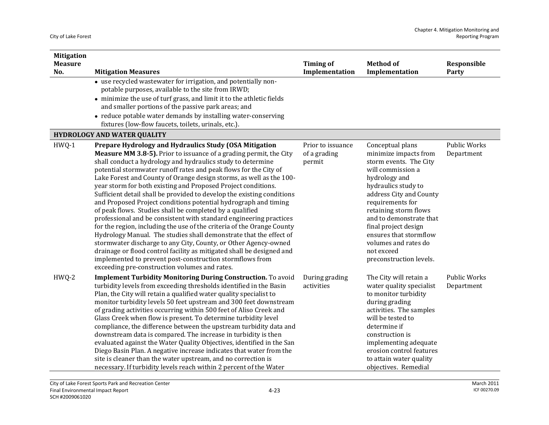| <b>Mitigation</b>     |                                                                                                                                                                                                                                                                                                                                                                                                                                                                                                                                                                                                                                                                                                                                                                                                                                                                                                                                                                                                                                                                                                        |                                             |                                                                                                                                                                                                                                                                                                                                                        |                            |
|-----------------------|--------------------------------------------------------------------------------------------------------------------------------------------------------------------------------------------------------------------------------------------------------------------------------------------------------------------------------------------------------------------------------------------------------------------------------------------------------------------------------------------------------------------------------------------------------------------------------------------------------------------------------------------------------------------------------------------------------------------------------------------------------------------------------------------------------------------------------------------------------------------------------------------------------------------------------------------------------------------------------------------------------------------------------------------------------------------------------------------------------|---------------------------------------------|--------------------------------------------------------------------------------------------------------------------------------------------------------------------------------------------------------------------------------------------------------------------------------------------------------------------------------------------------------|----------------------------|
| <b>Measure</b><br>No. | <b>Mitigation Measures</b>                                                                                                                                                                                                                                                                                                                                                                                                                                                                                                                                                                                                                                                                                                                                                                                                                                                                                                                                                                                                                                                                             | <b>Timing of</b><br>Implementation          | <b>Method of</b><br>Implementation                                                                                                                                                                                                                                                                                                                     | Responsible<br>Party       |
|                       | • use recycled wastewater for irrigation, and potentially non-<br>potable purposes, available to the site from IRWD;<br>• minimize the use of turf grass, and limit it to the athletic fields<br>and smaller portions of the passive park areas; and<br>• reduce potable water demands by installing water-conserving<br>fixtures (low-flow faucets, toilets, urinals, etc.).                                                                                                                                                                                                                                                                                                                                                                                                                                                                                                                                                                                                                                                                                                                          |                                             |                                                                                                                                                                                                                                                                                                                                                        |                            |
|                       | <b>HYDROLOGY AND WATER QUALITY</b>                                                                                                                                                                                                                                                                                                                                                                                                                                                                                                                                                                                                                                                                                                                                                                                                                                                                                                                                                                                                                                                                     |                                             |                                                                                                                                                                                                                                                                                                                                                        |                            |
| $HWQ-1$               | Prepare Hydrology and Hydraulics Study (OSA Mitigation<br><b>Measure MM 3.8-5).</b> Prior to issuance of a grading permit, the City<br>shall conduct a hydrology and hydraulics study to determine<br>potential stormwater runoff rates and peak flows for the City of<br>Lake Forest and County of Orange design storms, as well as the 100-<br>year storm for both existing and Proposed Project conditions.<br>Sufficient detail shall be provided to develop the existing conditions<br>and Proposed Project conditions potential hydrograph and timing<br>of peak flows. Studies shall be completed by a qualified<br>professional and be consistent with standard engineering practices<br>for the region, including the use of the criteria of the Orange County<br>Hydrology Manual. The studies shall demonstrate that the effect of<br>stormwater discharge to any City, County, or Other Agency-owned<br>drainage or flood control facility as mitigated shall be designed and<br>implemented to prevent post-construction stormflows from<br>exceeding pre-construction volumes and rates. | Prior to issuance<br>of a grading<br>permit | Conceptual plans<br>minimize impacts from<br>storm events. The City<br>will commission a<br>hydrology and<br>hydraulics study to<br>address City and County<br>requirements for<br>retaining storm flows<br>and to demonstrate that<br>final project design<br>ensures that stormflow<br>volumes and rates do<br>not exceed<br>preconstruction levels. | Public Works<br>Department |
| HWQ-2                 | <b>Implement Turbidity Monitoring During Construction.</b> To avoid<br>turbidity levels from exceeding thresholds identified in the Basin<br>Plan, the City will retain a qualified water quality specialist to<br>monitor turbidity levels 50 feet upstream and 300 feet downstream<br>of grading activities occurring within 500 feet of Aliso Creek and<br>Glass Creek when flow is present. To determine turbidity level<br>compliance, the difference between the upstream turbidity data and<br>downstream data is compared. The increase in turbidity is then<br>evaluated against the Water Quality Objectives, identified in the San<br>Diego Basin Plan. A negative increase indicates that water from the<br>site is cleaner than the water upstream, and no correction is<br>necessary. If turbidity levels reach within 2 percent of the Water                                                                                                                                                                                                                                            | During grading<br>activities                | The City will retain a<br>water quality specialist<br>to monitor turbidity<br>during grading<br>activities. The samples<br>will be tested to<br>determine if<br>construction is<br>implementing adequate<br>erosion control features<br>to attain water quality<br>objectives. Remedial                                                                | Public Works<br>Department |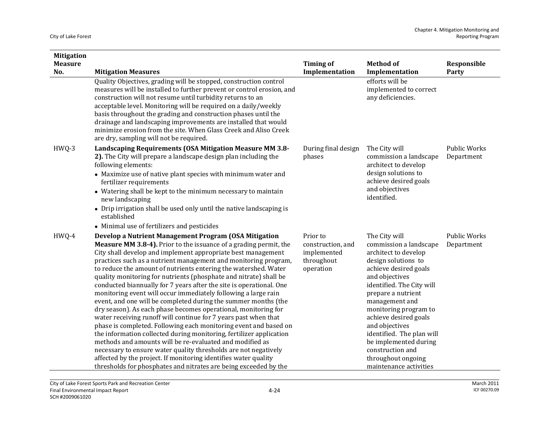| <b>Mitigation</b>     |                                                                                                                                                                                                                                                                                                                                                                                                                                                                                                                                                                                                                                                                                                                                                                                                                                                                                                                                                                                                                                                                                                                                                                               |                                                                         |                                                                                                                                                                                                                                                                                                                                                                                                      |                                   |
|-----------------------|-------------------------------------------------------------------------------------------------------------------------------------------------------------------------------------------------------------------------------------------------------------------------------------------------------------------------------------------------------------------------------------------------------------------------------------------------------------------------------------------------------------------------------------------------------------------------------------------------------------------------------------------------------------------------------------------------------------------------------------------------------------------------------------------------------------------------------------------------------------------------------------------------------------------------------------------------------------------------------------------------------------------------------------------------------------------------------------------------------------------------------------------------------------------------------|-------------------------------------------------------------------------|------------------------------------------------------------------------------------------------------------------------------------------------------------------------------------------------------------------------------------------------------------------------------------------------------------------------------------------------------------------------------------------------------|-----------------------------------|
| <b>Measure</b><br>No. | <b>Mitigation Measures</b>                                                                                                                                                                                                                                                                                                                                                                                                                                                                                                                                                                                                                                                                                                                                                                                                                                                                                                                                                                                                                                                                                                                                                    | <b>Timing of</b><br>Implementation                                      | <b>Method of</b><br>Implementation                                                                                                                                                                                                                                                                                                                                                                   | Responsible<br>Party              |
|                       | Quality Objectives, grading will be stopped, construction control<br>measures will be installed to further prevent or control erosion, and<br>construction will not resume until turbidity returns to an<br>acceptable level. Monitoring will be required on a daily/weekly<br>basis throughout the grading and construction phases until the<br>drainage and landscaping improvements are installed that would<br>minimize erosion from the site. When Glass Creek and Aliso Creek<br>are dry, sampling will not be required.                                                                                                                                                                                                                                                                                                                                                                                                                                                                                                                                                                                                                                                |                                                                         | efforts will be<br>implemented to correct<br>any deficiencies.                                                                                                                                                                                                                                                                                                                                       |                                   |
| HWQ-3                 | Landscaping Requirements (OSA Mitigation Measure MM 3.8-<br>2). The City will prepare a landscape design plan including the<br>following elements:<br>• Maximize use of native plant species with minimum water and<br>fertilizer requirements<br>• Watering shall be kept to the minimum necessary to maintain<br>new landscaping<br>• Drip irrigation shall be used only until the native landscaping is<br>established<br>• Minimal use of fertilizers and pesticides                                                                                                                                                                                                                                                                                                                                                                                                                                                                                                                                                                                                                                                                                                      | During final design<br>phases                                           | The City will<br>commission a landscape<br>architect to develop<br>design solutions to<br>achieve desired goals<br>and objectives<br>identified.                                                                                                                                                                                                                                                     | <b>Public Works</b><br>Department |
| HWQ-4                 | Develop a Nutrient Management Program (OSA Mitigation<br><b>Measure MM 3.8-4).</b> Prior to the issuance of a grading permit, the<br>City shall develop and implement appropriate best management<br>practices such as a nutrient management and monitoring program,<br>to reduce the amount of nutrients entering the watershed. Water<br>quality monitoring for nutrients (phosphate and nitrate) shall be<br>conducted biannually for 7 years after the site is operational. One<br>monitoring event will occur immediately following a large rain<br>event, and one will be completed during the summer months (the<br>dry season). As each phase becomes operational, monitoring for<br>water receiving runoff will continue for 7 years past when that<br>phase is completed. Following each monitoring event and based on<br>the information collected during monitoring, fertilizer application<br>methods and amounts will be re-evaluated and modified as<br>necessary to ensure water quality thresholds are not negatively<br>affected by the project. If monitoring identifies water quality<br>thresholds for phosphates and nitrates are being exceeded by the | Prior to<br>construction, and<br>implemented<br>throughout<br>operation | The City will<br>commission a landscape<br>architect to develop<br>design solutions to<br>achieve desired goals<br>and objectives<br>identified. The City will<br>prepare a nutrient<br>management and<br>monitoring program to<br>achieve desired goals<br>and objectives<br>identified. The plan will<br>be implemented during<br>construction and<br>throughout ongoing<br>maintenance activities | <b>Public Works</b><br>Department |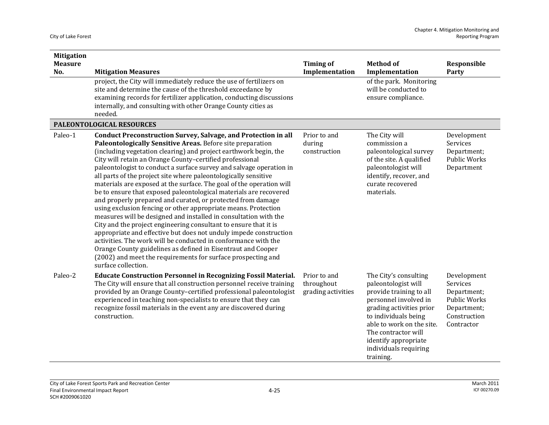| <b>Mitigation</b><br><b>Measure</b> |                                                                                                                                                                                                                                                                                                                                                                                                                                                                                                                                                                                                                                                                                                                                                                                                                                                                                                                                                                                                                                                                                                                                   | <b>Timing of</b>                                 | <b>Method of</b>                                                                                                                                                                                                                                                       | Responsible                                                                                                       |
|-------------------------------------|-----------------------------------------------------------------------------------------------------------------------------------------------------------------------------------------------------------------------------------------------------------------------------------------------------------------------------------------------------------------------------------------------------------------------------------------------------------------------------------------------------------------------------------------------------------------------------------------------------------------------------------------------------------------------------------------------------------------------------------------------------------------------------------------------------------------------------------------------------------------------------------------------------------------------------------------------------------------------------------------------------------------------------------------------------------------------------------------------------------------------------------|--------------------------------------------------|------------------------------------------------------------------------------------------------------------------------------------------------------------------------------------------------------------------------------------------------------------------------|-------------------------------------------------------------------------------------------------------------------|
| No.                                 | <b>Mitigation Measures</b>                                                                                                                                                                                                                                                                                                                                                                                                                                                                                                                                                                                                                                                                                                                                                                                                                                                                                                                                                                                                                                                                                                        | Implementation                                   | Implementation                                                                                                                                                                                                                                                         | Party                                                                                                             |
|                                     | project, the City will immediately reduce the use of fertilizers on<br>site and determine the cause of the threshold exceedance by<br>examining records for fertilizer application, conducting discussions<br>internally, and consulting with other Orange County cities as<br>needed.                                                                                                                                                                                                                                                                                                                                                                                                                                                                                                                                                                                                                                                                                                                                                                                                                                            |                                                  | of the park. Monitoring<br>will be conducted to<br>ensure compliance.                                                                                                                                                                                                  |                                                                                                                   |
|                                     | PALEONTOLOGICAL RESOURCES                                                                                                                                                                                                                                                                                                                                                                                                                                                                                                                                                                                                                                                                                                                                                                                                                                                                                                                                                                                                                                                                                                         |                                                  |                                                                                                                                                                                                                                                                        |                                                                                                                   |
| Paleo-1                             | <b>Conduct Preconstruction Survey, Salvage, and Protection in all</b><br>Paleontologically Sensitive Areas. Before site preparation<br>(including vegetation clearing) and project earthwork begin, the<br>City will retain an Orange County-certified professional<br>paleontologist to conduct a surface survey and salvage operation in<br>all parts of the project site where paleontologically sensitive<br>materials are exposed at the surface. The goal of the operation will<br>be to ensure that exposed paleontological materials are recovered<br>and properly prepared and curated, or protected from damage<br>using exclusion fencing or other appropriate means. Protection<br>measures will be designed and installed in consultation with the<br>City and the project engineering consultant to ensure that it is<br>appropriate and effective but does not unduly impede construction<br>activities. The work will be conducted in conformance with the<br>Orange County guidelines as defined in Eisentraut and Cooper<br>(2002) and meet the requirements for surface prospecting and<br>surface collection. | Prior to and<br>during<br>construction           | The City will<br>commission a<br>paleontological survey<br>of the site. A qualified<br>paleontologist will<br>identify, recover, and<br>curate recovered<br>materials.                                                                                                 | Development<br>Services<br>Department;<br><b>Public Works</b><br>Department                                       |
| Paleo-2                             | <b>Educate Construction Personnel in Recognizing Fossil Material.</b><br>The City will ensure that all construction personnel receive training<br>provided by an Orange County-certified professional paleontologist<br>experienced in teaching non-specialists to ensure that they can<br>recognize fossil materials in the event any are discovered during<br>construction.                                                                                                                                                                                                                                                                                                                                                                                                                                                                                                                                                                                                                                                                                                                                                     | Prior to and<br>throughout<br>grading activities | The City's consulting<br>paleontologist will<br>provide training to all<br>personnel involved in<br>grading activities prior<br>to individuals being<br>able to work on the site.<br>The contractor will<br>identify appropriate<br>individuals requiring<br>training. | Development<br><b>Services</b><br>Department;<br><b>Public Works</b><br>Department;<br>Construction<br>Contractor |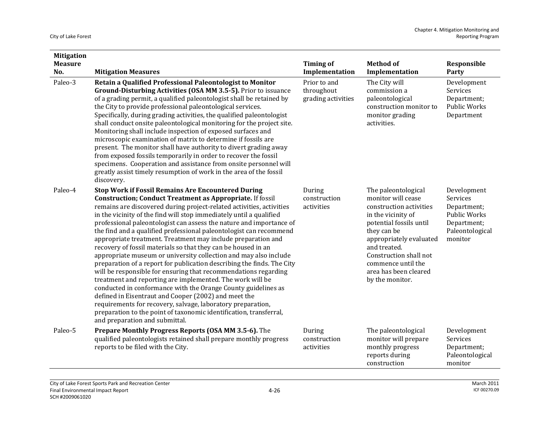| <b>Mitigation</b><br><b>Measure</b> |                                                                                                                                                                                                                                                                                                                                                                                                                                                                                                                                                                                                                                                                                                                                                                                                                                                                                                                                                                                                                                                                                                                                          | <b>Timing of</b>                                 | <b>Method of</b>                                                                                                                                                                                                                                                            | Responsible                                                                                                |
|-------------------------------------|------------------------------------------------------------------------------------------------------------------------------------------------------------------------------------------------------------------------------------------------------------------------------------------------------------------------------------------------------------------------------------------------------------------------------------------------------------------------------------------------------------------------------------------------------------------------------------------------------------------------------------------------------------------------------------------------------------------------------------------------------------------------------------------------------------------------------------------------------------------------------------------------------------------------------------------------------------------------------------------------------------------------------------------------------------------------------------------------------------------------------------------|--------------------------------------------------|-----------------------------------------------------------------------------------------------------------------------------------------------------------------------------------------------------------------------------------------------------------------------------|------------------------------------------------------------------------------------------------------------|
| No.                                 | <b>Mitigation Measures</b>                                                                                                                                                                                                                                                                                                                                                                                                                                                                                                                                                                                                                                                                                                                                                                                                                                                                                                                                                                                                                                                                                                               | Implementation                                   | Implementation                                                                                                                                                                                                                                                              | Party                                                                                                      |
| Paleo-3                             | Retain a Qualified Professional Paleontologist to Monitor<br>Ground-Disturbing Activities (OSA MM 3.5-5). Prior to issuance<br>of a grading permit, a qualified paleontologist shall be retained by<br>the City to provide professional paleontological services.<br>Specifically, during grading activities, the qualified paleontologist<br>shall conduct onsite paleontological monitoring for the project site.<br>Monitoring shall include inspection of exposed surfaces and<br>microscopic examination of matrix to determine if fossils are<br>present. The monitor shall have authority to divert grading away<br>from exposed fossils temporarily in order to recover the fossil<br>specimens. Cooperation and assistance from onsite personnel will<br>greatly assist timely resumption of work in the area of the fossil<br>discovery.                                                                                                                                                                                                                                                                                       | Prior to and<br>throughout<br>grading activities | The City will<br>commission a<br>paleontological<br>construction monitor to<br>monitor grading<br>activities.                                                                                                                                                               | Development<br>Services<br>Department;<br>Public Works<br>Department                                       |
| Paleo-4                             | <b>Stop Work if Fossil Remains Are Encountered During</b><br><b>Construction; Conduct Treatment as Appropriate. If fossil</b><br>remains are discovered during project-related activities, activities<br>in the vicinity of the find will stop immediately until a qualified<br>professional paleontologist can assess the nature and importance of<br>the find and a qualified professional paleontologist can recommend<br>appropriate treatment. Treatment may include preparation and<br>recovery of fossil materials so that they can be housed in an<br>appropriate museum or university collection and may also include<br>preparation of a report for publication describing the finds. The City<br>will be responsible for ensuring that recommendations regarding<br>treatment and reporting are implemented. The work will be<br>conducted in conformance with the Orange County guidelines as<br>defined in Eisentraut and Cooper (2002) and meet the<br>requirements for recovery, salvage, laboratory preparation,<br>preparation to the point of taxonomic identification, transferral,<br>and preparation and submittal. | During<br>construction<br>activities             | The paleontological<br>monitor will cease<br>construction activities<br>in the vicinity of<br>potential fossils until<br>they can be<br>appropriately evaluated<br>and treated.<br>Construction shall not<br>commence until the<br>area has been cleared<br>by the monitor. | Development<br>Services<br>Department;<br><b>Public Works</b><br>Department;<br>Paleontological<br>monitor |
| Paleo-5                             | Prepare Monthly Progress Reports (OSA MM 3.5-6). The<br>qualified paleontologists retained shall prepare monthly progress<br>reports to be filed with the City.                                                                                                                                                                                                                                                                                                                                                                                                                                                                                                                                                                                                                                                                                                                                                                                                                                                                                                                                                                          | During<br>construction<br>activities             | The paleontological<br>monitor will prepare<br>monthly progress<br>reports during<br>construction                                                                                                                                                                           | Development<br>Services<br>Department;<br>Paleontological<br>monitor                                       |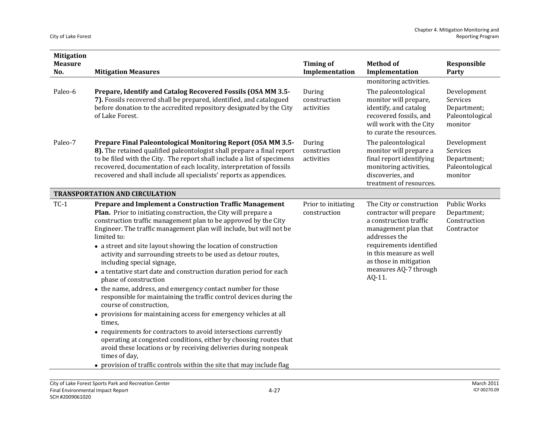| <b>Mitigation</b>     |                                                                                                                                                                                                                                                                                                                                                                                                                                                                                                                                                                                                                                                                                                                                                                                                                                                                                                                                                                                                                                                                                                          |                                      |                                                                                                                                                                                                                                           |                                                                      |
|-----------------------|----------------------------------------------------------------------------------------------------------------------------------------------------------------------------------------------------------------------------------------------------------------------------------------------------------------------------------------------------------------------------------------------------------------------------------------------------------------------------------------------------------------------------------------------------------------------------------------------------------------------------------------------------------------------------------------------------------------------------------------------------------------------------------------------------------------------------------------------------------------------------------------------------------------------------------------------------------------------------------------------------------------------------------------------------------------------------------------------------------|--------------------------------------|-------------------------------------------------------------------------------------------------------------------------------------------------------------------------------------------------------------------------------------------|----------------------------------------------------------------------|
| <b>Measure</b><br>No. | <b>Mitigation Measures</b>                                                                                                                                                                                                                                                                                                                                                                                                                                                                                                                                                                                                                                                                                                                                                                                                                                                                                                                                                                                                                                                                               | <b>Timing of</b><br>Implementation   | <b>Method of</b><br>Implementation                                                                                                                                                                                                        | Responsible<br>Party                                                 |
|                       |                                                                                                                                                                                                                                                                                                                                                                                                                                                                                                                                                                                                                                                                                                                                                                                                                                                                                                                                                                                                                                                                                                          |                                      | monitoring activities.                                                                                                                                                                                                                    |                                                                      |
| Paleo-6               | Prepare, Identify and Catalog Recovered Fossils (OSA MM 3.5-<br>7). Fossils recovered shall be prepared, identified, and catalogued<br>before donation to the accredited repository designated by the City<br>of Lake Forest.                                                                                                                                                                                                                                                                                                                                                                                                                                                                                                                                                                                                                                                                                                                                                                                                                                                                            | During<br>construction<br>activities | The paleontological<br>monitor will prepare,<br>identify, and catalog<br>recovered fossils, and<br>will work with the City<br>to curate the resources.                                                                                    | Development<br>Services<br>Department;<br>Paleontological<br>monitor |
| Paleo-7               | Prepare Final Paleontological Monitoring Report (OSA MM 3.5-<br>8). The retained qualified paleontologist shall prepare a final report<br>to be filed with the City. The report shall include a list of specimens<br>recovered, documentation of each locality, interpretation of fossils<br>recovered and shall include all specialists' reports as appendices.                                                                                                                                                                                                                                                                                                                                                                                                                                                                                                                                                                                                                                                                                                                                         | During<br>construction<br>activities | The paleontological<br>monitor will prepare a<br>final report identifying<br>monitoring activities,<br>discoveries, and<br>treatment of resources.                                                                                        | Development<br>Services<br>Department;<br>Paleontological<br>monitor |
|                       | <b>TRANSPORTATION AND CIRCULATION</b>                                                                                                                                                                                                                                                                                                                                                                                                                                                                                                                                                                                                                                                                                                                                                                                                                                                                                                                                                                                                                                                                    |                                      |                                                                                                                                                                                                                                           |                                                                      |
| $TC-1$                | Prepare and Implement a Construction Traffic Management<br>Plan. Prior to initiating construction, the City will prepare a<br>construction traffic management plan to be approved by the City<br>Engineer. The traffic management plan will include, but will not be<br>limited to:<br>• a street and site layout showing the location of construction<br>activity and surrounding streets to be used as detour routes,<br>including special signage,<br>• a tentative start date and construction duration period for each<br>phase of construction<br>• the name, address, and emergency contact number for those<br>responsible for maintaining the traffic control devices during the<br>course of construction,<br>• provisions for maintaining access for emergency vehicles at all<br>times,<br>• requirements for contractors to avoid intersections currently<br>operating at congested conditions, either by choosing routes that<br>avoid these locations or by receiving deliveries during nonpeak<br>times of day,<br>• provision of traffic controls within the site that may include flag | Prior to initiating<br>construction  | The City or construction<br>contractor will prepare<br>a construction traffic<br>management plan that<br>addresses the<br>requirements identified<br>in this measure as well<br>as those in mitigation<br>measures AQ-7 through<br>AQ-11. | <b>Public Works</b><br>Department;<br>Construction<br>Contractor     |